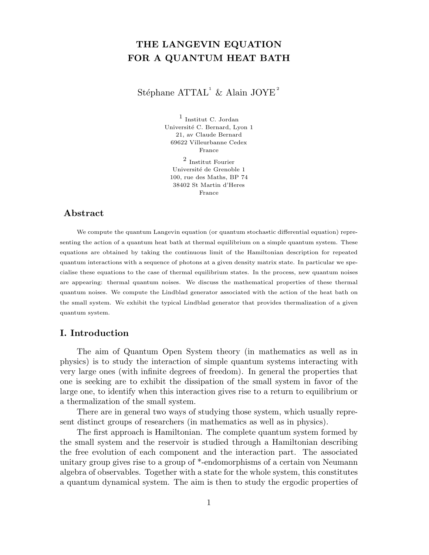# THE LANGEVIN EQUATION FOR A QUANTUM HEAT BATH

Stéphane  $\mathrm{ATTAL}^1$  & Alain JOYE<sup>2</sup>

1 Institut C. Jordan Université C. Bernard, Lyon 1 21, av Claude Bernard 69622 Villeurbanne Cedex France

2 Institut Fourier Université de Grenoble 1 100, rue des Maths, BP 74 38402 St Martin d'Heres France

# Abstract

We compute the quantum Langevin equation (or quantum stochastic differential equation) representing the action of a quantum heat bath at thermal equilibrium on a simple quantum system. These equations are obtained by taking the continuous limit of the Hamiltonian description for repeated quantum interactions with a sequence of photons at a given density matrix state. In particular we specialise these equations to the case of thermal equilibrium states. In the process, new quantum noises are appearing: thermal quantum noises. We discuss the mathematical properties of these thermal quantum noises. We compute the Lindblad generator associated with the action of the heat bath on the small system. We exhibit the typical Lindblad generator that provides thermalization of a given quantum system.

# I. Introduction

The aim of Quantum Open System theory (in mathematics as well as in physics) is to study the interaction of simple quantum systems interacting with very large ones (with infinite degrees of freedom). In general the properties that one is seeking are to exhibit the dissipation of the small system in favor of the large one, to identify when this interaction gives rise to a return to equilibrium or a thermalization of the small system.

There are in general two ways of studying those system, which usually represent distinct groups of researchers (in mathematics as well as in physics).

The first approach is Hamiltonian. The complete quantum system formed by the small system and the reservoir is studied through a Hamiltonian describing the free evolution of each component and the interaction part. The associated unitary group gives rise to a group of \*-endomorphisms of a certain von Neumann algebra of observables. Together with a state for the whole system, this constitutes a quantum dynamical system. The aim is then to study the ergodic properties of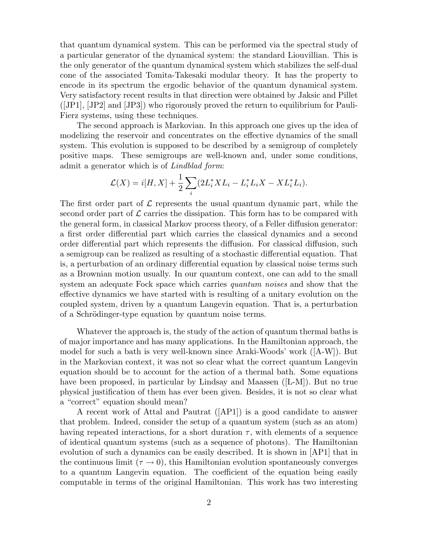that quantum dynamical system. This can be performed via the spectral study of a particular generator of the dynamical system: the standard Liouvillian. This is the only generator of the quantum dynamical system which stabilizes the self-dual cone of the associated Tomita-Takesaki modular theory. It has the property to encode in its spectrum the ergodic behavior of the quantum dynamical system. Very satisfactory recent results in that direction were obtained by Jaksic and Pillet ([JP1], [JP2] and [JP3]) who rigorously proved the return to equilibrium for Pauli-Fierz systems, using these techniques.

The second approach is Markovian. In this approach one gives up the idea of modelizing the reservoir and concentrates on the effective dynamics of the small system. This evolution is supposed to be described by a semigroup of completely positive maps. These semigroups are well-known and, under some conditions, admit a generator which is of *Lindblad form*:

$$
\mathcal{L}(X) = i[H, X] + \frac{1}{2} \sum_{i} (2L_i^* X L_i - L_i^* L_i X - X L_i^* L_i).
$$

The first order part of  $\mathcal L$  represents the usual quantum dynamic part, while the second order part of  $\mathcal L$  carries the dissipation. This form has to be compared with the general form, in classical Markov process theory, of a Feller diffusion generator: a first order differential part which carries the classical dynamics and a second order differential part which represents the diffusion. For classical diffusion, such a semigroup can be realized as resulting of a stochastic differential equation. That is, a perturbation of an ordinary differential equation by classical noise terms such as a Brownian motion usually. In our quantum context, one can add to the small system an adequate Fock space which carries *quantum noises* and show that the effective dynamics we have started with is resulting of a unitary evolution on the coupled system, driven by a quantum Langevin equation. That is, a perturbation of a Schrödinger-type equation by quantum noise terms.

Whatever the approach is, the study of the action of quantum thermal baths is of major importance and has many applications. In the Hamiltonian approach, the model for such a bath is very well-known since Araki-Woods' work ([A-W]). But in the Markovian context, it was not so clear what the correct quantum Langevin equation should be to account for the action of a thermal bath. Some equations have been proposed, in particular by Lindsay and Maassen ([L-M]). But no true physical justification of them has ever been given. Besides, it is not so clear what a "correct" equation should mean?

A recent work of Attal and Pautrat ([AP1]) is a good candidate to answer that problem. Indeed, consider the setup of a quantum system (such as an atom) having repeated interactions, for a short duration  $\tau$ , with elements of a sequence of identical quantum systems (such as a sequence of photons). The Hamiltonian evolution of such a dynamics can be easily described. It is shown in [AP1] that in the continuous limit ( $\tau \rightarrow 0$ ), this Hamiltonian evolution spontaneously converges to a quantum Langevin equation. The coefficient of the equation being easily computable in terms of the original Hamiltonian. This work has two interesting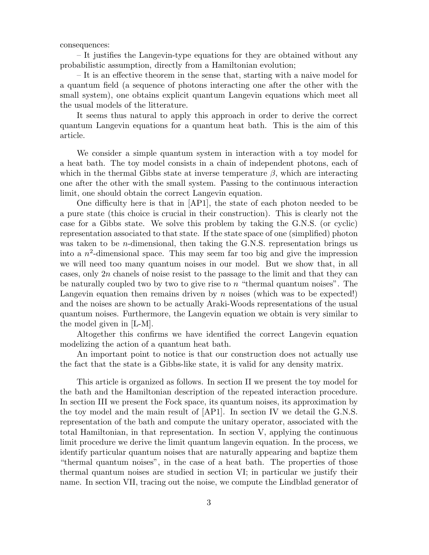#### consequences:

– It justifies the Langevin-type equations for they are obtained without any probabilistic assumption, directly from a Hamiltonian evolution;

– It is an effective theorem in the sense that, starting with a naive model for a quantum field (a sequence of photons interacting one after the other with the small system), one obtains explicit quantum Langevin equations which meet all the usual models of the litterature.

It seems thus natural to apply this approach in order to derive the correct quantum Langevin equations for a quantum heat bath. This is the aim of this article.

We consider a simple quantum system in interaction with a toy model for a heat bath. The toy model consists in a chain of independent photons, each of which in the thermal Gibbs state at inverse temperature  $\beta$ , which are interacting one after the other with the small system. Passing to the continuous interaction limit, one should obtain the correct Langevin equation.

One difficulty here is that in [AP1], the state of each photon needed to be a pure state (this choice is crucial in their construction). This is clearly not the case for a Gibbs state. We solve this problem by taking the G.N.S. (or cyclic) representation associated to that state. If the state space of one (simplified) photon was taken to be *n*-dimensional, then taking the G.N.S. representation brings us into a  $n^2$ -dimensional space. This may seem far too big and give the impression we will need too many quantum noises in our model. But we show that, in all cases, only  $2n$  chanels of noise resist to the passage to the limit and that they can be naturally coupled two by two to give rise to  $n$  "thermal quantum noises". The Langevin equation then remains driven by n noises (which was to be expected!) and the noises are shown to be actually Araki-Woods representations of the usual quantum noises. Furthermore, the Langevin equation we obtain is very similar to the model given in [L-M].

Altogether this confirms we have identified the correct Langevin equation modelizing the action of a quantum heat bath.

An important point to notice is that our construction does not actually use the fact that the state is a Gibbs-like state, it is valid for any density matrix.

This article is organized as follows. In section II we present the toy model for the bath and the Hamiltonian description of the repeated interaction procedure. In section III we present the Fock space, its quantum noises, its approximation by the toy model and the main result of [AP1]. In section IV we detail the G.N.S. representation of the bath and compute the unitary operator, associated with the total Hamiltonian, in that representation. In section V, applying the continuous limit procedure we derive the limit quantum langevin equation. In the process, we identify particular quantum noises that are naturally appearing and baptize them "thermal quantum noises", in the case of a heat bath. The properties of those thermal quantum noises are studied in section VI; in particular we justify their name. In section VII, tracing out the noise, we compute the Lindblad generator of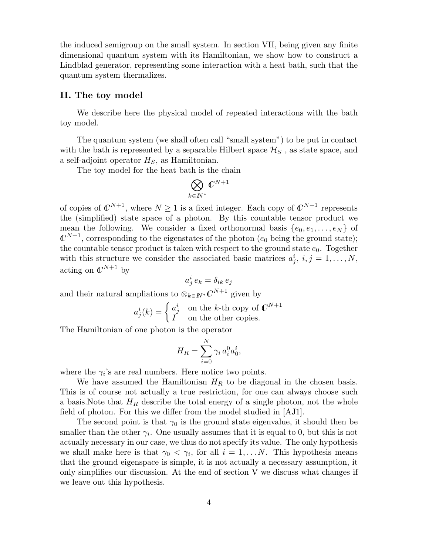the induced semigroup on the small system. In section VII, being given any finite dimensional quantum system with its Hamiltonian, we show how to construct a Lindblad generator, representing some interaction with a heat bath, such that the quantum system thermalizes.

## II. The toy model

We describe here the physical model of repeated interactions with the bath toy model.

The quantum system (we shall often call "small system") to be put in contact with the bath is represented by a separable Hilbert space  $\mathcal{H}_S$ , as state space, and a self-adjoint operator  $H_S$ , as Hamiltonian.

The toy model for the heat bath is the chain

$$
\bigotimes_{k\in I\!\!N^*} \mathbb{C}^{N+1}
$$

of copies of  $\mathbb{C}^{N+1}$ , where  $N \geq 1$  is a fixed integer. Each copy of  $\mathbb{C}^{N+1}$  represents the (simplified) state space of a photon. By this countable tensor product we mean the following. We consider a fixed orthonormal basis  $\{e_0, e_1, \ldots, e_N\}$  of  $\mathbb{C}^{N+1}$ , corresponding to the eigenstates of the photon  $(e_0$  being the ground state); the countable tensor product is taken with respect to the ground state  $e_0$ . Together with this structure we consider the associated basic matrices  $a_j^i$ ,  $i, j = 1, \ldots, N$ , acting on  $\mathbb{C}^{N+1}$  by

$$
a^i_j\,e_k=\delta_{ik}\,e_j
$$

and their natural ampliations to  $\otimes_{k\in I\!\!N^*}\mathbb{C}^{N+1}$  given by

$$
a_j^i(k) = \begin{cases} a_j^i & \text{on the } k\text{-th copy of } C^{N+1} \\ I & \text{on the other copies.} \end{cases}
$$

The Hamiltonian of one photon is the operator

$$
H_R = \sum_{i=0}^N \gamma_i a_i^0 a_0^i,
$$

where the  $\gamma_i$ 's are real numbers. Here notice two points.

We have assumed the Hamiltonian  $H_R$  to be diagonal in the chosen basis. This is of course not actually a true restriction, for one can always choose such a basis. Note that  $H_R$  describe the total energy of a single photon, not the whole field of photon. For this we differ from the model studied in [AJ1].

The second point is that  $\gamma_0$  is the ground state eigenvalue, it should then be smaller than the other  $\gamma_i$ . One usually assumes that it is equal to 0, but this is not actually necessary in our case, we thus do not specify its value. The only hypothesis we shall make here is that  $\gamma_0 < \gamma_i$ , for all  $i = 1, \dots N$ . This hypothesis means that the ground eigenspace is simple, it is not actually a necessary assumption, it only simplifies our discussion. At the end of section V we discuss what changes if we leave out this hypothesis.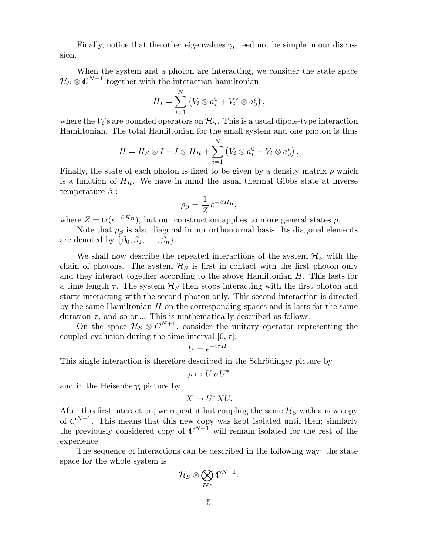Finally, notice that the other eigenvalues  $\gamma_i$  need not be simple in our discussion.

When the system and a photon are interacting, we consider the state space  $\mathcal{H}_S \otimes \mathbb{C}^{N+1}$  together with the interaction hamiltonian

$$
H_I = \sum_{i=1}^{N} (V_i \otimes a_i^0 + V_i^* \otimes a_0^i),
$$

where the  $V_i$ 's are bounded operators on  $\mathcal{H}_S$ . This is a usual dipole-type interaction Hamiltonian. The total Hamiltonian for the small system and one photon is thus

$$
H = H_S \otimes I + I \otimes H_R + \sum_{i=1}^N (V_i \otimes a_i^0 + V_i \otimes a_0^i).
$$

Finally, the state of each photon is fixed to be given by a density matrix  $\rho$  which is a function of  $H_R$ . We have in mind the usual thermal Gibbs state at inverse temperature  $\beta$  :

$$
\rho_{\beta} = \frac{1}{Z} e^{-\beta H_R},
$$

where  $Z = \text{tr}(e^{-\beta H_R})$ , but our construction applies to more general states  $\rho$ .

Note that  $\rho_{\beta}$  is also diagonal in our orthonormal basis. Its diagonal elements are denoted by  $\{\beta_0, \beta_1, \ldots, \beta_n\}.$ 

We shall now describe the repeated interactions of the system  $\mathcal{H}_S$  with the chain of photons. The system  $\mathcal{H}_S$  is first in contact with the first photon only and they interact together according to the above Hamiltonian H. This lasts for a time length  $\tau$ . The system  $\mathcal{H}_S$  then stops interacting with the first photon and starts interacting with the second photon only. This second interaction is directed by the same Hamiltonian  $H$  on the corresponding spaces and it lasts for the same duration  $\tau$ , and so on... This is mathematically described as follows.

On the space  $\mathcal{H}_{S} \otimes \mathbb{C}^{N+1}$ , consider the unitary operator representing the coupled evolution during the time interval  $[0, \tau]$ :

$$
U = e^{-i\tau H}.
$$

This single interaction is therefore described in the Schrödinger picture by

$$
\rho \mapsto U \, \rho \, U^*
$$

and in the Heisenberg picture by

$$
X \mapsto U^*XU.
$$

After this first interaction, we repeat it but coupling the same  $\mathcal{H}_S$  with a new copy of  $\mathbb{C}^{N+1}$ . This means that this new copy was kept isolated until then; similarly the previously considered copy of  $\mathbb{C}^{N+1}$  will remain isolated for the rest of the experience.

The sequence of interactions can be described in the following way: the state space for the whole system is

$$
\mathcal{H}_S\otimes\bigotimes_{I\!\!N^*}\mathbb{C}^{N+1}.
$$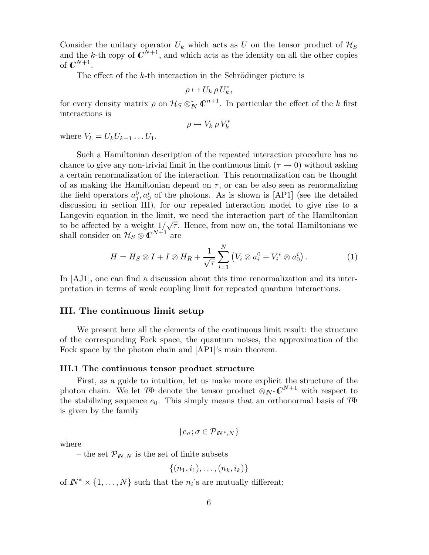Consider the unitary operator  $U_k$  which acts as U on the tensor product of  $\mathcal{H}_S$ and the k-th copy of  $\mathbb{C}^{N+1}$ , and which acts as the identity on all the other copies of  $\mathbb{C}^{N+1}$ .

The effect of the  $k$ -th interaction in the Schrödinger picture is

$$
\rho \mapsto U_k \, \rho \, U_k^*,
$$

for every density matrix  $\rho$  on  $\mathcal{H}_S \otimes^*_{I\!\!N} \mathbb{C}^{n+1}$ . In particular the effect of the k first interactions is

$$
\rho \mapsto V_k \,\rho \, V_k^*
$$

where  $V_k = U_k U_{k-1} \dots U_1$ .

Such a Hamiltonian description of the repeated interaction procedure has no chance to give any non-trivial limit in the continuous limit ( $\tau \rightarrow 0$ ) without asking a certain renormalization of the interaction. This renormalization can be thought of as making the Hamiltonian depend on  $\tau$ , or can be also seen as renormalizing the field operators  $a_j^0, a_0^i$  of the photons. As is shown is [AP1] (see the detailed discussion in section III), for our repeated interaction model to give rise to a Langevin equation in the limit, we need the interaction part of the Hamiltonian to be affected by a weight  $1/\sqrt{\tau}$ . Hence, from now on, the total Hamiltonians we shall consider on  $\mathcal{H}_S \otimes \mathbb{C}^{N+1}$  are

$$
H = H_S \otimes I + I \otimes H_R + \frac{1}{\sqrt{\tau}} \sum_{i=1}^N \left( V_i \otimes a_i^0 + V_i^* \otimes a_0^i \right). \tag{1}
$$

In [AJ1], one can find a discussion about this time renormalization and its interpretation in terms of weak coupling limit for repeated quantum interactions.

### III. The continuous limit setup

We present here all the elements of the continuous limit result: the structure of the corresponding Fock space, the quantum noises, the approximation of the Fock space by the photon chain and [AP1]'s main theorem.

#### III.1 The continuous tensor product structure

First, as a guide to intuition, let us make more explicit the structure of the photon chain. We let  $T\Phi$  denote the tensor product  $\otimes_{I\!\!N^*} \mathbb{C}^{N+1}$  with respect to the stabilizing sequence  $e_0$ . This simply means that an orthonormal basis of  $T\Phi$ is given by the family

$$
\{e_{\sigma}; \sigma \in \mathcal{P}_{I\!N^*,N}\}
$$

where

– the set  $\mathcal{P}_{N,N}$  is the set of finite subsets

$$
\{(n_1,i_1),\ldots,(n_k,i_k)\}
$$

of  $I\!\!N^* \times \{1, \ldots, N\}$  such that the  $n_i$ 's are mutually different;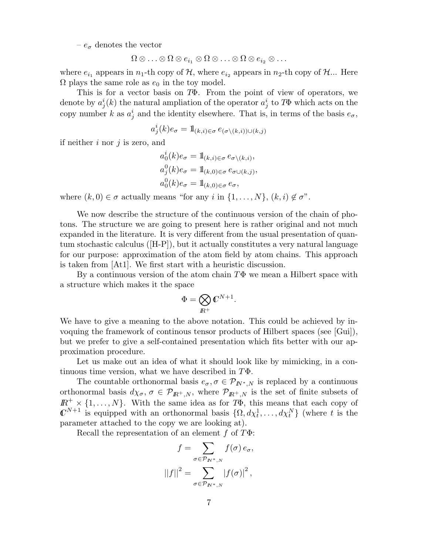–  $e_{\sigma}$  denotes the vector

$$
\Omega\otimes\ldots\otimes\Omega\otimes e_{i_1}\otimes\Omega\otimes\ldots\otimes\Omega\otimes e_{i_2}\otimes\ldots
$$

where  $e_{i_1}$  appears in  $n_1$ -th copy of  $H$ , where  $e_{i_2}$  appears in  $n_2$ -th copy of  $H$ ... Here  $\Omega$  plays the same role as  $e_0$  in the toy model.

This is for a vector basis on TΦ. From the point of view of operators, we denote by  $a_j^i(k)$  the natural ampliation of the operator  $a_j^i$  to T $\Phi$  which acts on the copy number k as  $a_j^i$  and the identity elsewhere. That is, in terms of the basis  $e_{\sigma}$ ,

$$
a_j^i(k)e_{\sigma} = 1\!\!1_{(k,i)\in\sigma}e_{(\sigma\setminus (k,i))\cup (k,j)}
$$

if neither  $i$  nor  $j$  is zero, and

$$
a_0^i(k)e_{\sigma} = 1\!\!1_{(k,i)\in\sigma} e_{\sigma\setminus(k,i)},
$$
  
\n
$$
a_j^0(k)e_{\sigma} = 1\!\!1_{(k,0)\in\sigma} e_{\sigma\cup(k,j)},
$$
  
\n
$$
a_0^0(k)e_{\sigma} = 1\!\!1_{(k,0)\in\sigma} e_{\sigma},
$$

where  $(k, 0) \in \sigma$  actually means "for any i in  $\{1, \ldots, N\}, (k, i) \notin \sigma$ ".

We now describe the structure of the continuous version of the chain of photons. The structure we are going to present here is rather original and not much expanded in the literature. It is very different from the usual presentation of quantum stochastic calculus  $(H-P)$ , but it actually constitutes a very natural language for our purpose: approximation of the atom field by atom chains. This approach is taken from [At1]. We first start with a heuristic discussion.

By a continuous version of the atom chain  $T\Phi$  we mean a Hilbert space with a structure which makes it the space

$$
\Phi=\bigotimes_{I\!\!R^+} \mathbb{C}^{N+1}.
$$

We have to give a meaning to the above notation. This could be achieved by invoquing the framework of continous tensor products of Hilbert spaces (see [Gui]), but we prefer to give a self-contained presentation which fits better with our approximation procedure.

Let us make out an idea of what it should look like by mimicking, in a continuous time version, what we have described in  $T\Phi$ .

The countable orthonormal basis  $e_{\sigma}, \sigma \in \mathcal{P}_{I\!\!N^*,N}$  is replaced by a continuous orthonormal basis  $d\chi_{\sigma}$ ,  $\sigma \in \mathcal{P}_{I\!\!R^+,N}$ , where  $\mathcal{P}_{I\!\!R^+,N}$  is the set of finite subsets of  $\mathbb{R}^+ \times \{1, \ldots, N\}$ . With the same idea as for  $T\Phi$ , this means that each copy of  $\mathbb{C}^{N+1}$  is equipped with an orthonormal basis  $\{\Omega, d\chi_t^1, \ldots, d\chi_t^N\}$  (where t is the parameter attached to the copy we are looking at).

Recall the representation of an element f of  $T\Phi$ :

$$
f = \sum_{\sigma \in \mathcal{P}_{I\!N^*,N}} f(\sigma) e_{\sigma},
$$

$$
||f||^2 = \sum_{\sigma \in \mathcal{P}_{I\!N^*,N}} |f(\sigma)|^2,
$$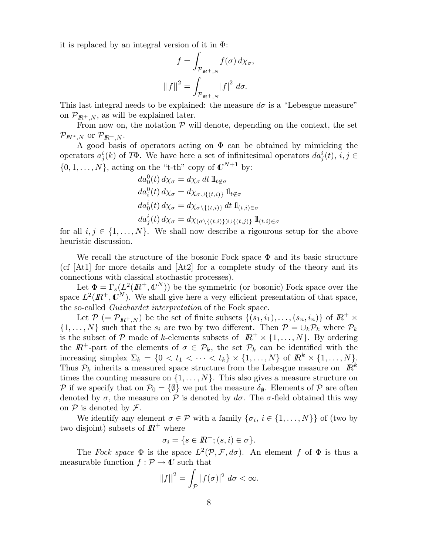it is replaced by an integral version of it in  $\Phi$ :

$$
f = \int_{\mathcal{P}_{I\!\!R^+,N}} f(\sigma) \, d\chi_{\sigma},
$$

$$
||f||^2 = \int_{\mathcal{P}_{I\!\!R^+,N}} |f|^2 \, d\sigma.
$$

This last integral needs to be explained: the measure  $d\sigma$  is a "Lebesgue measure" on  $\mathcal{P}_{I\!\!R^+,N}$ , as will be explained later.

From now on, the notation  $P$  will denote, depending on the context, the set  $\mathcal{P}_{I\!\!N^*,N}$  or  $\mathcal{P}_{I\!\!R^+,N}.$ 

A good basis of operators acting on  $\Phi$  can be obtained by mimicking the operators  $a_j^i(k)$  of T $\Phi$ . We have here a set of infinitesimal operators  $da_j^i(t)$ ,  $i, j \in$  $\{0, 1, \ldots, N\}$ , acting on the "t-th" copy of  $\mathbb{C}^{N+1}$  by:

$$
da_0^0(t) d\chi_{\sigma} = d\chi_{\sigma} dt 1_{t \notin \sigma}
$$
  
\n
$$
da_i^0(t) d\chi_{\sigma} = d\chi_{\sigma \cup \{(t,i)\}} 1_{t \notin \sigma}
$$
  
\n
$$
da_0^i(t) d\chi_{\sigma} = d\chi_{\sigma \setminus \{(t,i)\}} dt 1_{(t,i) \in \sigma}
$$
  
\n
$$
da_j^i(t) d\chi_{\sigma} = d\chi_{(\sigma \setminus \{(t,i)\}) \cup \{(t,j)\}} 1_{(t,i) \in \sigma}
$$

for all  $i, j \in \{1, \ldots, N\}$ . We shall now describe a rigourous setup for the above heuristic discussion.

We recall the structure of the bosonic Fock space  $\Phi$  and its basic structure (cf [At1] for more details and [At2] for a complete study of the theory and its connections with classical stochastic processes).

Let  $\Phi = \Gamma_s(L^2(\mathbb{R}^+,\mathbb{C}^N))$  be the symmetric (or bosonic) Fock space over the space  $L^2(\mathbb{R}^+,\mathbb{C}^N)$ . We shall give here a very efficient presentation of that space, the so-called Guichardet interpretation of the Fock space.

Let  $\mathcal{P}$  (=  $\mathcal{P}_{I\!\!R^+,N}$ ) be the set of finite subsets  $\{(s_1,i_1),\ldots,(s_n,i_n)\}\;$  of  $I\!\!R^+\times I$  $\{1, \ldots, N\}$  such that the  $s_i$  are two by two different. Then  $\mathcal{P} = \bigcup_k \mathcal{P}_k$  where  $\mathcal{P}_k$ is the subset of P made of k-elements subsets of  $\mathbb{R}^+ \times \{1, \ldots, N\}$ . By ordering the  $\mathbb{R}^+$ -part of the elements of  $\sigma \in \mathcal{P}_k$ , the set  $\mathcal{P}_k$  can be identified with the increasing simplex  $\Sigma_k = \{0 \lt t_1 \lt \cdots \lt t_k\} \times \{1, \ldots, N\}$  of  $\mathbb{R}^k \times \{1, \ldots, N\}$ . Thus  $P_k$  inherits a measured space structure from the Lebesgue measure on  $\mathbb{R}^k$ times the counting measure on  $\{1, \ldots, N\}$ . This also gives a measure structure on P if we specify that on  $\mathcal{P}_0 = \{\emptyset\}$  we put the measure  $\delta_{\emptyset}$ . Elements of P are often denoted by  $\sigma$ , the measure on P is denoted by  $d\sigma$ . The  $\sigma$ -field obtained this way on  $P$  is denoted by  $\mathcal{F}$ .

We identify any element  $\sigma \in \mathcal{P}$  with a family  $\{\sigma_i, i \in \{1, \ldots, N\}\}\$  of (two by two disjoint) subsets of  $\mathbb{R}^+$  where

$$
\sigma_i = \{ s \in I\!\!R^+; (s,i) \in \sigma \}.
$$

The Fock space  $\Phi$  is the space  $L^2(\mathcal{P}, \mathcal{F}, d\sigma)$ . An element f of  $\Phi$  is thus a measurable function  $f : \mathcal{P} \to \mathbb{C}$  such that

$$
||f||^2 = \int_{\mathcal{P}} |f(\sigma)|^2 \, d\sigma < \infty.
$$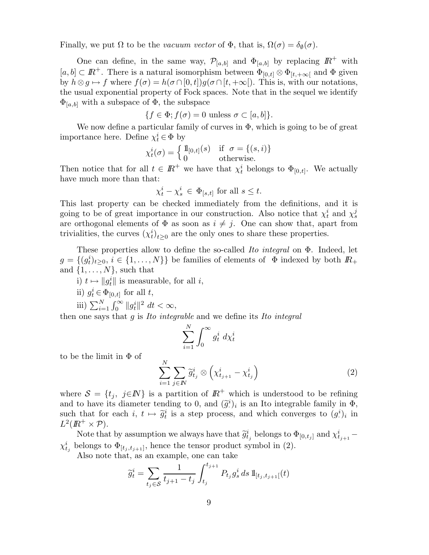Finally, we put  $\Omega$  to be the *vacuum vector* of  $\Phi$ , that is,  $\Omega(\sigma) = \delta_{\emptyset}(\sigma)$ .

One can define, in the same way,  $\mathcal{P}_{[a,b]}$  and  $\Phi_{[a,b]}$  by replacing  $\mathbb{R}^+$  with  $[a, b] \subset \mathbb{R}^+$ . There is a natural isomorphism between  $\Phi_{[0,t]} \otimes \Phi_{[t,+\infty]}$  and  $\Phi$  given by  $h \otimes g \mapsto f$  where  $f(\sigma) = h(\sigma \cap [0, t])g(\sigma \cap [t, +\infty])$ . This is, with our notations, the usual exponential property of Fock spaces. Note that in the sequel we identify  $\Phi_{[a,b]}$  with a subspace of  $\Phi$ , the subspace

$$
\{f \in \Phi; f(\sigma) = 0 \text{ unless } \sigma \subset [a, b] \}.
$$

We now define a particular family of curves in  $\Phi$ , which is going to be of great importance here. Define  $\chi_t^i \in \Phi$  by

$$
\chi_t^i(\sigma) = \begin{cases} \mathbb{1}_{[0,t]}(s) & \text{if } \sigma = \{(s,i)\} \\ 0 & \text{otherwise.} \end{cases}
$$

Then notice that for all  $t \in \mathbb{R}^+$  we have that  $\chi_t^i$  belongs to  $\Phi_{[0,t]}$ . We actually have much more than that:

$$
\chi_t^i - \chi_s^i \in \Phi_{[s,t]} \text{ for all } s \le t.
$$

This last property can be checked immediately from the definitions, and it is going to be of great importance in our construction. Also notice that  $\chi_t^i$  and  $\chi_s^j$ are orthogonal elements of  $\Phi$  as soon as  $i \neq j$ . One can show that, apart from trivialities, the curves  $(\chi_t^i)_{t \geq 0}$  are the only ones to share these properties.

These properties allow to define the so-called Ito integral on Φ. Indeed, let  $g = \{(g_t^i)_{t \geq 0}, i \in \{1, \ldots, N\}\}\$ be families of elements of  $\Phi$  indexed by both  $\mathbb{R}_+$ and  $\{1, \ldots, N\}$ , such that

i)  $t \mapsto \|g_t^i\|$  is measurable, for all i,

ii)  $g_t^i \in \Phi_{[0,t]}$  for all  $t$ ,

iii) 
$$
\sum_{i=1}^{N} \int_{0}^{\infty} ||g_t^i||^2 dt < \infty,
$$

then one says that  $q$  is *Ito integrable* and we define its *Ito integral* 

$$
\sum_{i=1}^{N} \int_{0}^{\infty} g_t^i \, d\chi_t^i
$$

to be the limit in Φ of

$$
\sum_{i=1}^{N} \sum_{j \in I\!\!N} \widetilde{g}_{t_j}^{i} \otimes \left( \chi_{t_{j+1}}^{i} - \chi_{t_j}^{i} \right) \tag{2}
$$

where  $S = \{t_i, j \in \mathbb{N}\}\$ is a partition of  $\mathbb{R}^+$  which is understood to be refining and to have its diameter tending to 0, and  $(\tilde{g}^i)_i$  is an Ito integrable family in  $\Phi$ , such that for each  $i, t \mapsto \tilde{g}_t^i$  is a step process, and which converges to  $(g_t^i)$  $i)$ <sub>i</sub> in  $L^2(\mathbb{R}^+\times \mathcal{P}).$ 

Note that by assumption we always have that  $\tilde{g}_{t_j}^i$  belongs to  $\Phi_{[0,t_j]}$  and  $\chi_{t_{j+1}}^i$  –  $\chi_{t_j}^i$  belongs to  $\Phi_{[t_j,t_{j+1}]}$ , hence the tensor product symbol in (2).

Also note that, as an example, one can take

$$
\widetilde{g}_t^i = \sum_{t_j \in \mathcal{S}} \frac{1}{t_{j+1} - t_j} \int_{t_j}^{t_{j+1}} P_{t_j} g_s^i ds \, 1\!\!1_{[t_j, t_{j+1}[}(t))}
$$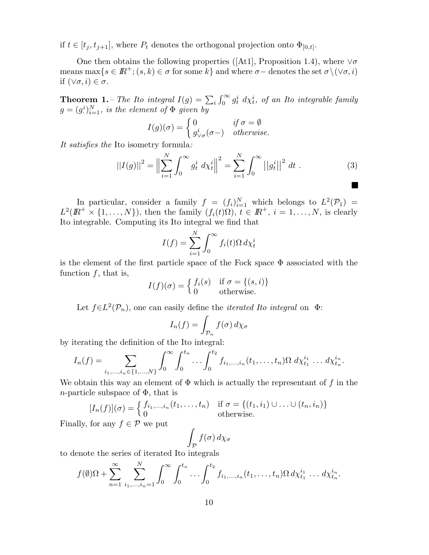if  $t \in [t_j, t_{j+1}]$ , where  $P_t$  denotes the orthogonal projection onto  $\Phi_{[0,t]}$ .

One then obtains the following properties ([At1], Proposition 1.4), where  $\forall \sigma$ means max $\{s \in \mathbb{R}^+; (s, k) \in \sigma \text{ for some } k\}$  and where  $\sigma$  – denotes the set  $\sigma \setminus (\vee \sigma, i)$ if  $(\forall \sigma, i) \in \sigma$ .

**Theorem 1.** – The Ito integral  $I(g) = \sum_i \int_0^\infty g_t^i \, d\chi_t^i$ , of an Ito integrable family  $g=(g^i)$  $\binom{i}{i}$  $\binom{N}{i-1}$ , is the element of  $\Phi$  given by

$$
I(g)(\sigma) = \begin{cases} 0 & \text{if } \sigma = \emptyset \\ g^i_{\vee \sigma}(\sigma-) & \text{otherwise.} \end{cases}
$$

It satisfies the Ito isometry formula:

$$
||I(g)||^2 = \Big\|\sum_{i=1}^{N} \int_0^{\infty} g_t^i \, d\chi_t^i \Big\|^2 = \sum_{i=1}^{N} \int_0^{\infty} ||g_t^i||^2 \, dt \,. \tag{3}
$$

In particular, consider a family  $f = (f_i)_{i=1}^N$  which belongs to  $L^2(\mathcal{P}_1) =$  $L^2(\mathbb{R}^+ \times \{1, \ldots, N\})$ , then the family  $(f_i(t)\Omega)$ ,  $t \in \mathbb{R}^+, i = 1, \ldots, N$ , is clearly Ito integrable. Computing its Ito integral we find that

$$
I(f) = \sum_{i=1}^{N} \int_{0}^{\infty} f_i(t) \Omega \, d\chi_t^i
$$

is the element of the first particle space of the Fock space  $\Phi$  associated with the function  $f$ , that is,

$$
I(f)(\sigma) = \begin{cases} f_i(s) & \text{if } \sigma = \{(s, i)\} \\ 0 & \text{otherwise.} \end{cases}
$$

Let  $f \in L^2(\mathcal{P}_n)$ , one can easily define the *iterated Ito integral* on  $\Phi$ :

$$
I_n(f) = \int_{\mathcal{P}_n} f(\sigma) \, d\chi_{\sigma}
$$

by iterating the definition of the Ito integral:

$$
I_n(f) = \sum_{i_1,\dots,i_n \in \{1,\dots,N\}} \int_0^\infty \int_0^{t_n} \dots \int_0^{t_2} f_{i_1,\dots,i_n}(t_1,\dots,t_n) \Omega \ d\chi_{t_1}^{i_1} \dots d\chi_{t_n}^{i_n}.
$$

We obtain this way an element of  $\Phi$  which is actually the representant of f in the *n*-particle subspace of  $\Phi$ , that is

$$
[I_n(f)](\sigma) = \begin{cases} f_{i_1,\ldots,i_n}(t_1,\ldots,t_n) & \text{if } \sigma = \{(t_1,i_1) \cup \ldots \cup (t_n,i_n)\} \\ 0 & \text{otherwise.} \end{cases}
$$

Finally, for any  $f \in \mathcal{P}$  we put

$$
\int_{\mathcal{P}} f(\sigma) \, d\chi_{\sigma}
$$

to denote the series of iterated Ito integrals

$$
f(\emptyset)\Omega + \sum_{n=1}^{\infty} \sum_{i_1,\dots,i_n=1}^{N} \int_0^{\infty} \int_0^{t_n} \dots \int_0^{t_2} f_{i_1,\dots,i_n}(t_1,\dots,t_n) \Omega \, d\chi_{t_1}^{i_1} \dots \, d\chi_{t_n}^{i_n}.
$$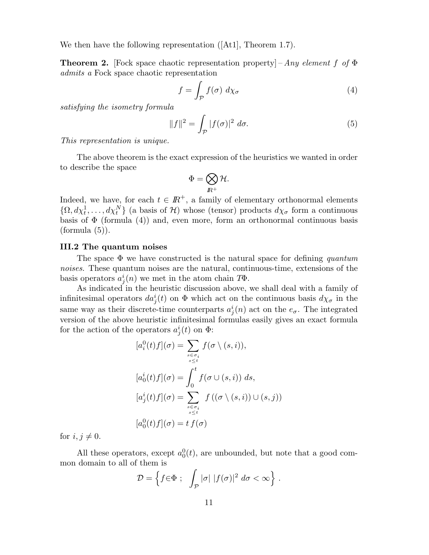We then have the following representation ([At1], Theorem 1.7).

**Theorem 2.** [Fock space chaotic representation property] – Any element f of  $\Phi$ admits a Fock space chaotic representation

$$
f = \int_{\mathcal{P}} f(\sigma) \, d\chi_{\sigma} \tag{4}
$$

satisfying the isometry formula

$$
||f||^2 = \int_{\mathcal{P}} |f(\sigma)|^2 d\sigma.
$$
 (5)

This representation is unique.

The above theorem is the exact expression of the heuristics we wanted in order to describe the space

$$
\Phi=\bigotimes_{I\!\!R^+}\mathcal{H}.
$$

Indeed, we have, for each  $t \in \mathbb{R}^+$ , a family of elementary orthonormal elements  $\{\Omega, d\chi_t^1, \ldots, d\chi_t^N\}$  (a basis of H) whose (tensor) products  $d\chi_{\sigma}$  form a continuous basis of  $\Phi$  (formula (4)) and, even more, form an orthonormal continuous basis  $(formula (5)).$ 

### III.2 The quantum noises

The space  $\Phi$  we have constructed is the natural space for defining quantum noises. These quantum noises are the natural, continuous-time, extensions of the basis operators  $a_j^i(n)$  we met in the atom chain  $T\Phi$ .

As indicated in the heuristic discussion above, we shall deal with a family of infinitesimal operators  $da_j^i(t)$  on  $\Phi$  which act on the continuous basis  $d\chi_{\sigma}$  in the same way as their discrete-time counterparts  $a_j^i(n)$  act on the  $e_{\sigma}$ . The integrated version of the above heuristic infinitesimal formulas easily gives an exact formula for the action of the operators  $a_j^i(t)$  on  $\Phi$ :

$$
[a_i^0(t)f](\sigma) = \sum_{s \in \sigma_i \atop s \le t} f(\sigma \setminus (s, i)),
$$
  
\n
$$
[a_0^i(t)f](\sigma) = \int_0^t f(\sigma \cup (s, i)) ds,
$$
  
\n
$$
[a_j^i(t)f](\sigma) = \sum_{s \in \sigma_i \atop s \le t} f((\sigma \setminus (s, i)) \cup (s, j))
$$
  
\n
$$
[a_0^0(t)f](\sigma) = tf(\sigma)
$$

for  $i, j \neq 0$ .

All these operators, except  $a_0^0(t)$ , are unbounded, but note that a good common domain to all of them is

$$
\mathcal{D} = \left\{ f \in \Phi \; ; \; \int_{\mathcal{P}} |\sigma| \; |f(\sigma)|^2 \; d\sigma < \infty \right\} \, .
$$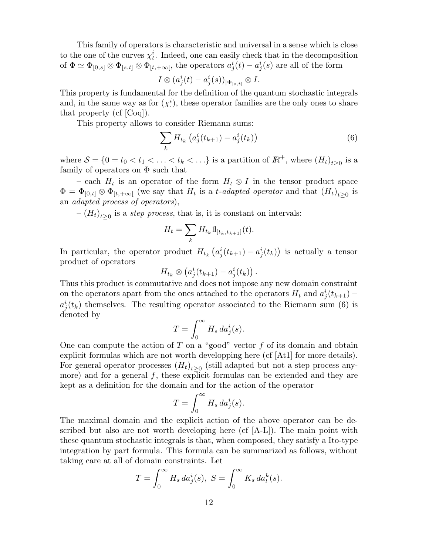This family of operators is characteristic and universal in a sense which is close to the one of the curves  $\chi_t^i$ . Indeed, one can easily check that in the decomposition of  $\Phi \simeq \Phi_{[0,s]}\otimes \Phi_{[s,t]}\otimes \Phi_{[t,+\infty[},$  the operators  $a^i_j(t)-a^i_j(s)$  are all of the form

$$
I\otimes (a^i_j(t)-a^i_j(s))_{|\Phi_{[s,t]}}\otimes I.
$$

This property is fundamental for the definition of the quantum stochastic integrals and, in the same way as for  $(\chi^i)$ · ), these operator families are the only ones to share that property (cf [Coq]).

This property allows to consider Riemann sums:

$$
\sum_{k} H_{t_k} \left( a_j^i(t_{k+1}) - a_j^i(t_k) \right) \tag{6}
$$

where  $S = \{0 = t_0 < t_1 < \ldots < t_k < \ldots\}$  is a partition of  $\mathbb{R}^+$ , where  $(H_t)_{t \geq 0}$  is a family of operators on  $\Phi$  such that

– each  $H_t$  is an operator of the form  $H_t \otimes I$  in the tensor product space  $\Phi = \Phi_{[0,t]} \otimes \Phi_{[t,+\infty[}$  (we say that  $H_t$  is a t-adapted operator and that  $(H_t)_{t\geq 0}$  is an adapted process of operators),

 $-(H_t)_{t\geq 0}$  is a *step process*, that is, it is constant on intervals:

$$
H_t = \sum_k H_{t_k} 1\!\!1_{[t_k, t_{k+1}]}(t).
$$

In particular, the operator product  $H_{t_k} (a_j^i(t_{k+1}) - a_j^i(t_k))$  is actually a tensor product of operators

$$
H_{t_k}\otimes \left(a^i_j(t_{k+1})-a^i_j(t_k)\right).
$$

Thus this product is commutative and does not impose any new domain constraint on the operators apart from the ones attached to the operators  $H_t$  and  $a_j^i(t_{k+1})$  –  $a_j^i(t_k)$  themselves. The resulting operator associated to the Riemann sum (6) is denoted by

$$
T = \int_0^\infty H_s \, da^i_j(s).
$$

One can compute the action of T on a "good" vector  $f$  of its domain and obtain explicit formulas which are not worth developping here (cf [At1] for more details). For general operator processes  $(H_t)_{t\geq0}$  (still adapted but not a step process anymore) and for a general  $f$ , these explicit formulas can be extended and they are kept as a definition for the domain and for the action of the operator

$$
T = \int_0^\infty H_s \, da^i_j(s).
$$

The maximal domain and the explicit action of the above operator can be described but also are not worth developing here  $(cf [A-L])$ . The main point with these quantum stochastic integrals is that, when composed, they satisfy a Ito-type integration by part formula. This formula can be summarized as follows, without taking care at all of domain constraints. Let

$$
T = \int_0^\infty H_s \, da_j^i(s), \ S = \int_0^\infty K_s \, da_l^k(s).
$$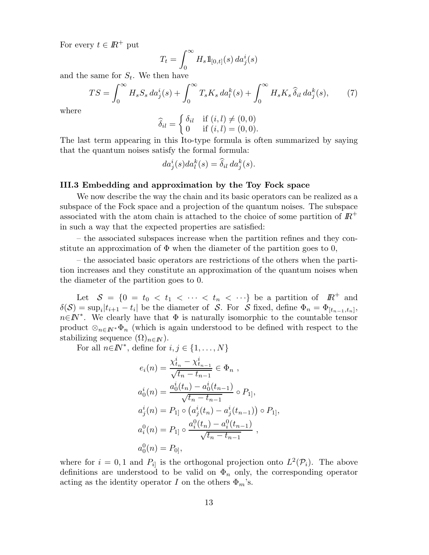For every  $t \in \mathbb{R}^+$  put

$$
T_t = \int_0^\infty H_s \mathbb{1}_{[0,t]}(s) \, da^i_j(s)
$$

and the same for  $S_t$ . We then have

$$
TS = \int_0^\infty H_s S_s \, da_j^i(s) + \int_0^\infty T_s K_s \, da_l^k(s) + \int_0^\infty H_s K_s \, \widehat{\delta}_{il} \, da_j^k(s),\tag{7}
$$

where

$$
\widehat{\delta}_{il} = \begin{cases} \delta_{il} & \text{if } (i, l) \neq (0, 0) \\ 0 & \text{if } (i, l) = (0, 0). \end{cases}
$$

The last term appearing in this Ito-type formula is often summarized by saying that the quantum noises satisfy the formal formula:

$$
da_j^i(s)da_l^k(s) = \widehat{\delta}_{il} da_j^k(s).
$$

### III.3 Embedding and approximation by the Toy Fock space

We now describe the way the chain and its basic operators can be realized as a subspace of the Fock space and a projection of the quantum noises. The subspace associated with the atom chain is attached to the choice of some partition of  $\mathbb{R}^+$ in such a way that the expected properties are satisfied:

– the associated subspaces increase when the partition refines and they constitute an approximation of  $\Phi$  when the diameter of the partition goes to 0,

– the associated basic operators are restrictions of the others when the partition increases and they constitute an approximation of the quantum noises when the diameter of the partition goes to 0.

Let  $S = \{0 = t_0 < t_1 < \cdots < t_n < \cdots\}$  be a partition of  $\mathbb{R}^+$  and  $\delta(\mathcal{S}) = \sup_i |t_{i+1} - t_i|$  be the diameter of  $\mathcal{S}$ . For  $\mathcal{S}$  fixed, define  $\Phi_n = \Phi_{[t_{n-1},t_n]},$  $n \in \mathbb{N}^*$ . We clearly have that  $\Phi$  is naturally isomorphic to the countable tensor product  $\otimes_{n\in\mathbb{N}^*}\Phi_n$  (which is again understood to be defined with respect to the stabilizing sequence  $(\Omega)_{n\in\mathbb{N}}$ .

For all  $n \in \mathbb{N}^*$ , define for  $i, j \in \{1, \ldots, N\}$ 

$$
e_i(n) = \frac{\chi_{t_n}^i - \chi_{t_{n-1}}^i}{\sqrt{t_n - t_{n-1}}} \in \Phi_n ,
$$
  
\n
$$
a_0^i(n) = \frac{a_0^i(t_n) - a_0^i(t_{n-1})}{\sqrt{t_n - t_{n-1}}} \circ P_{1}],
$$
  
\n
$$
a_j^i(n) = P_{1} \circ (a_j^i(t_n) - a_j^i(t_{n-1})) \circ P_{1}],
$$
  
\n
$$
a_i^0(n) = P_{1} \circ \frac{a_i^0(t_n) - a_i^0(t_{n-1})}{\sqrt{t_n - t_{n-1}}},
$$
  
\n
$$
a_0^0(n) = P_{0},
$$

where for  $i = 0, 1$  and  $P_{i}$  is the orthogonal projection onto  $L^2(\mathcal{P}_i)$ . The above definitions are understood to be valid on  $\Phi_n$  only, the corresponding operator acting as the identity operator I on the others  $\Phi_m$ 's.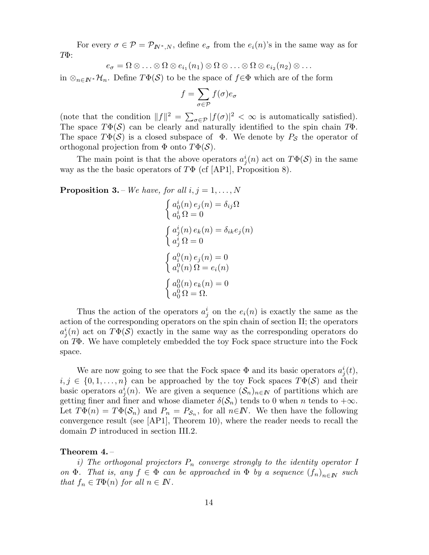For every  $\sigma \in \mathcal{P} = \mathcal{P}_{I\!N^*,N}$ , define  $e_{\sigma}$  from the  $e_i(n)$ 's in the same way as for TΦ:

$$
e_{\sigma} = \Omega \otimes \ldots \otimes \Omega \otimes e_{i_1}(n_1) \otimes \Omega \otimes \ldots \otimes \Omega \otimes e_{i_2}(n_2) \otimes \ldots
$$

in  $\otimes_{n\in\mathbb{N}^*}\mathcal{H}_n$ . Define  $T\Phi(\mathcal{S})$  to be the space of  $f\in\Phi$  which are of the form

$$
f = \sum_{\sigma \in \mathcal{P}} f(\sigma) e_{\sigma}
$$

(note that the condition  $||f||^2 = \sum_{\sigma \in \mathcal{P}} |f(\sigma)|^2 < \infty$  is automatically satisfied). The space  $T\Phi(\mathcal{S})$  can be clearly and naturally identified to the spin chain  $T\Phi$ . The space  $T\Phi(\mathcal{S})$  is a closed subspace of  $\Phi$ . We denote by  $P_{\mathcal{S}}$  the operator of orthogonal projection from  $\Phi$  onto  $T\Phi(\mathcal{S})$ .

The main point is that the above operators  $a_j^i(n)$  act on  $T\Phi(S)$  in the same way as the the basic operators of  $T\Phi$  (cf [AP1], Proposition 8).

**Proposition 3.** – We have, for all  $i, j = 1, \ldots, N$ 

$$
\begin{cases}\na_0^i(n) e_j(n) = \delta_{ij}\Omega \\
a_0^i \Omega = 0\n\end{cases}
$$
\n
$$
\begin{cases}\na_j^i(n) e_k(n) = \delta_{ik} e_j(n) \\
a_j^i \Omega = 0\n\end{cases}
$$
\n
$$
\begin{cases}\na_i^0(n) e_j(n) = 0 \\
a_i^0(n) \Omega = e_i(n)\n\end{cases}
$$
\n
$$
\begin{cases}\na_0^0(n) e_k(n) = 0 \\
a_0^0 \Omega = \Omega.\n\end{cases}
$$

Thus the action of the operators  $a_j^i$  on the  $e_i(n)$  is exactly the same as the action of the corresponding operators on the spin chain of section II; the operators  $a_j^i(n)$  act on  $T\Phi(\mathcal{S})$  exactly in the same way as the corresponding operators do on TΦ. We have completely embedded the toy Fock space structure into the Fock space.

We are now going to see that the Fock space  $\Phi$  and its basic operators  $a_j^i(t)$ ,  $i, j \in \{0, 1, \ldots, n\}$  can be approached by the toy Fock spaces  $T\Phi(\mathcal{S})$  and their basic operators  $a_j^i(n)$ . We are given a sequence  $(\mathcal{S}_n)_{n\in\mathbb{N}}$  of partitions which are getting finer and finer and whose diameter  $\delta(\mathcal{S}_n)$  tends to 0 when n tends to  $+\infty$ . Let  $T\Phi(n) = T\Phi(\mathcal{S}_n)$  and  $P_n = P_{\mathcal{S}_n}$ , for all  $n \in \mathbb{N}$ . We then have the following convergence result (see [AP1], Theorem 10), where the reader needs to recall the domain D introduced in section III.2.

### Theorem 4. –

i) The orthogonal projectors  $P_n$  converge strongly to the identity operator I on  $\Phi$ . That is, any  $f \in \Phi$  can be approached in  $\Phi$  by a sequence  $(f_n)_{n \in \mathbb{N}}$  such that  $f_n \in T\Phi(n)$  for all  $n \in \mathbb{N}$ .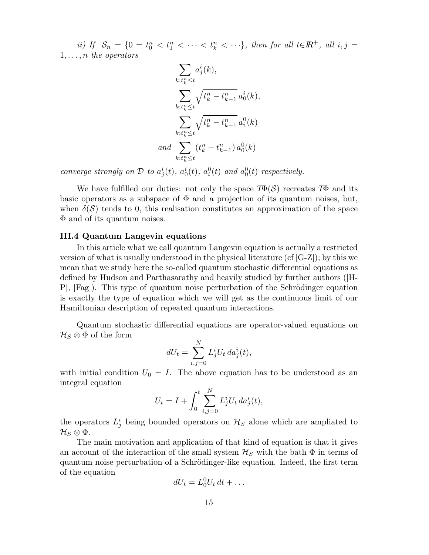ii) If  $S_n = \{0 = t_0^n < t_1^n < \cdots < t_k^n < \cdots \}$ , then for all  $t \in \mathbb{R}^+$ , all  $i, j =$  $1, \ldots, n$  the operators

$$
\sum_{k;t_k^n \le t} a_j^i(k),
$$
  
\n
$$
\sum_{k;t_k^n \le t} \sqrt{t_k^n - t_{k-1}^n} a_0^i(k),
$$
  
\n
$$
\sum_{k;t_k^n \le t} \sqrt{t_k^n - t_{k-1}^n} a_i^0(k)
$$
  
\nand 
$$
\sum_{k;t_k^n \le t} (t_k^n - t_{k-1}^n) a_0^0(k)
$$

converge strongly on  $\mathcal D$  to  $a_j^i(t)$ ,  $a_0^i(t)$ ,  $a_i^0(t)$  and  $a_0^0(t)$  respectively.

We have fulfilled our duties: not only the space  $T\Phi(\mathcal{S})$  recreates  $T\Phi$  and its basic operators as a subspace of  $\Phi$  and a projection of its quantum noises, but, when  $\delta(\mathcal{S})$  tends to 0, this realisation constitutes an approximation of the space Φ and of its quantum noises.

### III.4 Quantum Langevin equations

In this article what we call quantum Langevin equation is actually a restricted version of what is usually understood in the physical literature (cf [G-Z]); by this we mean that we study here the so-called quantum stochastic differential equations as defined by Hudson and Parthasarathy and heavily studied by further authors ([H- $\text{Pl}$ ,  $\text{[Fag]}$ . This type of quantum noise perturbation of the Schrödinger equation is exactly the type of equation which we will get as the continuous limit of our Hamiltonian description of repeated quantum interactions.

Quantum stochastic differential equations are operator-valued equations on  $\mathcal{H}_S\otimes\Phi$  of the form

$$
dU_t = \sum_{i,j=0}^N L_j^i U_t da_j^i(t),
$$

with initial condition  $U_0 = I$ . The above equation has to be understood as an integral equation

$$
U_t = I + \int_0^t \sum_{i,j=0}^N L_j^i U_t \, da_j^i(t),
$$

the operators  $L_j^i$  being bounded operators on  $\mathcal{H}_S$  alone which are ampliated to  $\mathcal{H}_S\otimes \Phi.$ 

The main motivation and application of that kind of equation is that it gives an account of the interaction of the small system  $\mathcal{H}_S$  with the bath  $\Phi$  in terms of quantum noise perturbation of a Schrödinger-like equation. Indeed, the first term of the equation

$$
dU_t = L_0^0 U_t dt + \dots
$$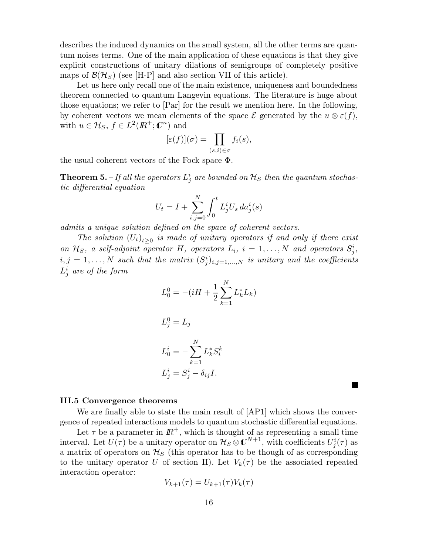describes the induced dynamics on the small system, all the other terms are quantum noises terms. One of the main application of these equations is that they give explicit constructions of unitary dilations of semigroups of completely positive maps of  $\mathcal{B}(\mathcal{H}_S)$  (see [H-P] and also section VII of this article).

Let us here only recall one of the main existence, uniqueness and boundedness theorem connected to quantum Langevin equations. The literature is huge about those equations; we refer to [Par] for the result we mention here. In the following, by coherent vectors we mean elements of the space  $\mathcal E$  generated by the  $u \otimes \varepsilon(f)$ , with  $u \in \mathcal{H}_S$ ,  $f \in L^2(\mathbb{R}^+; \mathbb{C}^n)$  and

$$
[\varepsilon(f)](\sigma) = \prod_{(s,i)\in\sigma} f_i(s),
$$

the usual coherent vectors of the Fock space Φ.

**Theorem 5.** – If all the operators  $L_j^i$  are bounded on  $\mathcal{H}_S$  then the quantum stochastic differential equation

$$
U_t = I + \sum_{i,j=0}^{N} \int_0^t L_j^i U_s \, da_j^i(s)
$$

admits a unique solution defined on the space of coherent vectors.

The solution  $(U_t)_{t\geq 0}$  is made of unitary operators if and only if there exist on  $\mathcal{H}_S$ , a self-adjoint operator H, operators  $L_i$ ,  $i = 1, ..., N$  and operators  $S_j^i$ ,  $i,j = 1, \ldots, N$  such that the matrix  $(S_j^i)_{i,j=1,\ldots,N}$  is unitary and the coefficients  $L^i_j$  are of the form

$$
L_0^0 = -(iH + \frac{1}{2} \sum_{k=1}^{N} L_k^* L_k)
$$

$$
L_j^0 = L_j
$$
  
\n
$$
L_0^i = -\sum_{k=1}^N L_k^* S_i^k
$$
  
\n
$$
L_j^i = S_j^i - \delta_{ij} I.
$$

#### III.5 Convergence theorems

We are finally able to state the main result of [AP1] which shows the convergence of repeated interactions models to quantum stochastic differential equations.

Let  $\tau$  be a parameter in  $\mathbb{R}^+$ , which is thought of as representing a small time interval. Let  $U(\tau)$  be a unitary operator on  $\mathcal{H}_S \otimes \mathbb{C}^{N+1}$ , with coefficients  $U^i_j(\tau)$  as a matrix of operators on  $\mathcal{H}_{S}$  (this operator has to be though of as corresponding to the unitary operator U of section II). Let  $V_k(\tau)$  be the associated repeated interaction operator:

$$
V_{k+1}(\tau) = U_{k+1}(\tau)V_k(\tau)
$$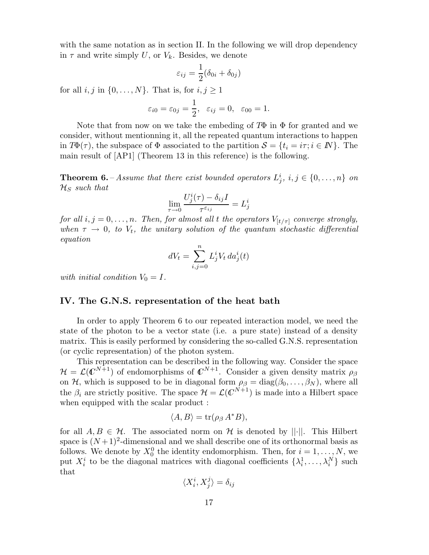with the same notation as in section II. In the following we will drop dependency in  $\tau$  and write simply U, or  $V_k$ . Besides, we denote

$$
\varepsilon_{ij} = \frac{1}{2} (\delta_{0i} + \delta_{0j})
$$

for all  $i, j$  in  $\{0, \ldots, N\}$ . That is, for  $i, j \geq 1$ 

$$
\varepsilon_{i0} = \varepsilon_{0j} = \frac{1}{2}, \quad \varepsilon_{ij} = 0, \quad \varepsilon_{00} = 1.
$$

Note that from now on we take the embeding of  $T\Phi$  in  $\Phi$  for granted and we consider, without mentionning it, all the repeated quantum interactions to happen in  $T\Phi(\tau)$ , the subspace of  $\Phi$  associated to the partition  $\mathcal{S} = \{t_i = i\tau; i \in \mathbb{N}\}\.$  The main result of [AP1] (Theorem 13 in this reference) is the following.

**Theorem 6.** – Assume that there exist bounded operators  $L_j^i$ ,  $i, j \in \{0, ..., n\}$  on  $\mathcal{H}_S$  such that

$$
\lim_{\tau \to 0} \frac{U_j^i(\tau) - \delta_{ij} I}{\tau^{\varepsilon_{ij}}} = L_j^i
$$

for all  $i, j = 0, \ldots, n$ . Then, for almost all t the operators  $V_{[t/\tau]}$  converge strongly, when  $\tau \to 0$ , to  $V_t$ , the unitary solution of the quantum stochastic differential equation

$$
dV_t = \sum_{i,j=0}^n L^i_j V_t \, da^i_j(t)
$$

with initial condition  $V_0 = I$ .

# IV. The G.N.S. representation of the heat bath

In order to apply Theorem 6 to our repeated interaction model, we need the state of the photon to be a vector state (i.e. a pure state) instead of a density matrix. This is easily performed by considering the so-called G.N.S. representation (or cyclic representation) of the photon system.

This representation can be described in the following way. Consider the space  $\mathcal{H} = \mathcal{L}(\mathbb{C}^{N+1})$  of endomorphisms of  $\mathbb{C}^{N+1}$ . Consider a given density matrix  $\rho_{\beta}$ on H, which is supposed to be in diagonal form  $\rho_{\beta} = \text{diag}(\beta_0, \dots, \beta_N)$ , where all the  $\beta_i$  are strictly positive. The space  $\mathcal{H} = \mathcal{L}(\mathbb{C}^{N+1})$  is made into a Hilbert space when equipped with the scalar product :

$$
\langle A, B \rangle = \operatorname{tr}(\rho_\beta \, A^* B),
$$

for all  $A, B \in \mathcal{H}$ . The associated norm on H is denoted by ||·||. This Hilbert space is  $(N+1)^2$ -dimensional and we shall describe one of its orthonormal basis as follows. We denote by  $X_0^0$  the identity endomorphism. Then, for  $i = 1, \ldots, N$ , we put  $X_i^i$  to be the diagonal matrices with diagonal coefficients  $\{\lambda_i^1, \ldots, \lambda_i^N\}$  such that

$$
\langle X_i^i, X_j^j \rangle = \delta_{ij}
$$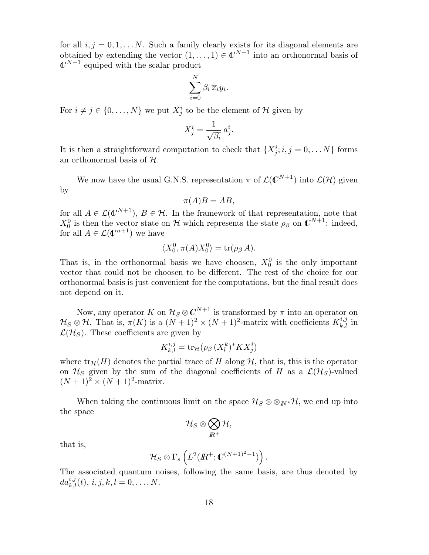for all  $i, j = 0, 1, \ldots N$ . Such a family clearly exists for its diagonal elements are obtained by extending the vector  $(1,\ldots,1) \in \mathbb{C}^{N+1}$  into an orthonormal basis of  $\mathbb{C}^{N+1}$  equiped with the scalar product

$$
\sum_{i=0}^N \beta_i \, \overline{x}_i y_i.
$$

For  $i \neq j \in \{0, \ldots, N\}$  we put  $X_j^i$  to be the element of  $\mathcal H$  given by

$$
X_j^i = \frac{1}{\sqrt{\beta_i}} a_j^i.
$$

It is then a straightforward computation to check that  $\{X_j^i; i, j = 0, \ldots N\}$  forms an orthonormal basis of  $H$ .

We now have the usual G.N.S. representation  $\pi$  of  $\mathcal{L}(\mathbb{C}^{N+1})$  into  $\mathcal{L}(\mathcal{H})$  given by

$$
\pi(A)B = AB,
$$

for all  $A \in \mathcal{L}(\mathbb{C}^{N+1}), B \in \mathcal{H}$ . In the framework of that representation, note that  $X_0^0$  is then the vector state on H which represents the state  $\rho_\beta$  on  $\mathbb{C}^{N+1}$ : indeed, for all  $A \in \mathcal{L}(\mathbb{C}^{n+1})$  we have

$$
\langle X_0^0, \pi(A)X_0^0 \rangle = \text{tr}(\rho_\beta A).
$$

That is, in the orthonormal basis we have choosen,  $X_0^0$  is the only important vector that could not be choosen to be different. The rest of the choice for our orthonormal basis is just convenient for the computations, but the final result does not depend on it.

Now, any operator K on  $\mathcal{H}_S \otimes \mathbb{C}^{N+1}$  is transformed by  $\pi$  into an operator on  $\mathcal{H}_S \otimes \mathcal{H}$ . That is,  $\pi(K)$  is a  $(N+1)^2 \times (N+1)^2$ -matrix with coefficients  $K_{k,l}^{i,j}$  in  $\mathcal{L}(\mathcal{H}_S)$ . These coefficients are given by

$$
K_{k,l}^{i,j} = \text{tr}_{\mathcal{H}}(\rho_{\beta} \, (X_l^k)^* K X_j^i)
$$

where  $\text{tr}_{\mathcal{H}}(H)$  denotes the partial trace of H along  $\mathcal{H}$ , that is, this is the operator on  $\mathcal{H}_S$  given by the sum of the diagonal coefficients of H as a  $\mathcal{L}(\mathcal{H}_S)$ -valued  $(N + 1)^2 \times (N + 1)^2$ -matrix.

When taking the continuous limit on the space  $\mathcal{H}_S \otimes \otimes_{I\!\!N^*} \mathcal{H}$ , we end up into the space

$$
\mathcal{H}_S\otimes\bigotimes_{I\!\!R^+}\mathcal{H},
$$

that is,

$$
\mathcal{H}_S\otimes\Gamma_s\left(L^2(I\!\! R^+;\mathbb{C}^{(N+1)^2-1})\right).
$$

The associated quantum noises, following the same basis, are thus denoted by  $da_{k,l}^{i,j}(t), i, j, k, l = 0, \ldots, N.$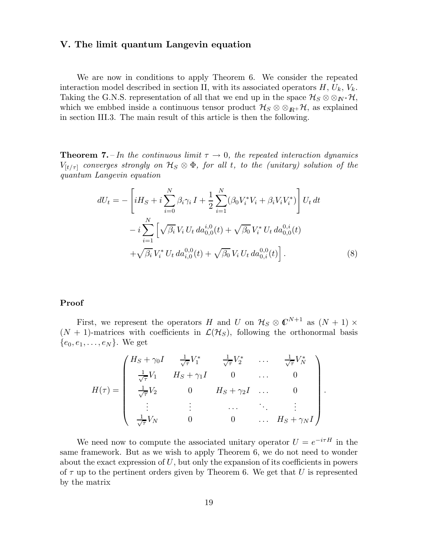# V. The limit quantum Langevin equation

We are now in conditions to apply Theorem 6. We consider the repeated interaction model described in section II, with its associated operators  $H, U_k, V_k$ . Taking the G.N.S. representation of all that we end up in the space  $\mathcal{H}_{S} \otimes \otimes_{I\!\!N^*} \mathcal{H}$ , which we embbed inside a continuous tensor product  $\mathcal{H}_S \otimes \otimes_{I\mathbb{R}^+} \mathcal{H}$ , as explained in section III.3. The main result of this article is then the following.

**Theorem 7.** – In the continuous limit  $\tau \rightarrow 0$ , the repeated interaction dynamics  $V_{[t/\tau]}$  converges strongly on  $\mathcal{H}_S \otimes \Phi$ , for all t, to the (unitary) solution of the quantum Langevin equation

$$
dU_t = -\left[iH_S + i\sum_{i=0}^N \beta_i \gamma_i I + \frac{1}{2} \sum_{i=1}^N (\beta_0 V_i^* V_i + \beta_i V_i V_i^*)\right] U_t dt
$$
  

$$
- i \sum_{i=1}^N \left[\sqrt{\beta_i} V_i U_t da_{0,0}^{i,0}(t) + \sqrt{\beta_0} V_i^* U_t da_{0,0}^{0,i}(t) + \sqrt{\beta_i} V_i^* U_t da_{0,i}^{0,0}(t)\right].
$$
  
(8)

### Proof

First, we represent the operators H and U on  $\mathcal{H}_S \otimes \mathbb{C}^{N+1}$  as  $(N+1) \times$  $(N + 1)$ -matrices with coefficients in  $\mathcal{L}(\mathcal{H}_S)$ , following the orthonormal basis  $\{e_0, e_1, \ldots, e_N\}$ . We get

$$
H(\tau) = \begin{pmatrix} H_S + \gamma_0 I & \frac{1}{\sqrt{\tau}} V_1^* & \frac{1}{\sqrt{\tau}} V_2^* & \dots & \frac{1}{\sqrt{\tau}} V_N^* \\ \frac{1}{\sqrt{\tau}} V_1 & H_S + \gamma_1 I & 0 & \dots & 0 \\ \frac{1}{\sqrt{\tau}} V_2 & 0 & H_S + \gamma_2 I & \dots & 0 \\ \vdots & \vdots & \dots & \ddots & \vdots \\ \frac{1}{\sqrt{\tau}} V_N & 0 & 0 & \dots & H_S + \gamma_N I \end{pmatrix}.
$$

We need now to compute the associated unitary operator  $U = e^{-i\tau H}$  in the same framework. But as we wish to apply Theorem 6, we do not need to wonder about the exact expression of  $U$ , but only the expansion of its coefficients in powers of  $\tau$  up to the pertinent orders given by Theorem 6. We get that U is represented by the matrix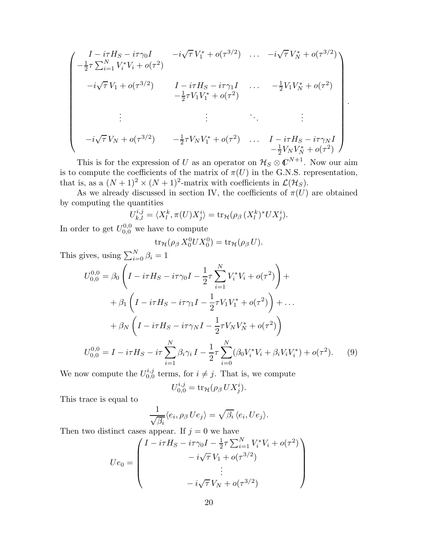$$
\begin{pmatrix}\nI - i\tau H_S - i\tau \gamma_0 I & -i\sqrt{\tau} V_1^* + o(\tau^{3/2}) & \dots & -i\sqrt{\tau} V_N^* + o(\tau^{3/2}) \\
-\frac{1}{2}\tau \sum_{i=1}^N V_i^* V_i + o(\tau^2) & I - i\tau H_S - i\tau \gamma_1 I & \dots & -\frac{1}{2} V_1 V_N^* + o(\tau^2) \\
-i\sqrt{\tau} V_1 + o(\tau^{3/2}) & I - i\tau H_S - i\tau \gamma_1 I & \dots & -\frac{1}{2} V_1 V_N^* + o(\tau^2) \\
\vdots & \vdots & \ddots & \vdots \\
-i\sqrt{\tau} V_N + o(\tau^{3/2}) & -\frac{1}{2}\tau V_N V_1^* + o(\tau^2) & \dots & I - i\tau H_S - i\tau \gamma_N I \\
-\frac{1}{2} V_N V_N^* + o(\tau^2)\n\end{pmatrix}
$$

.

This is for the expression of U as an operator on  $\mathcal{H}_S \otimes \mathbb{C}^{N+1}$ . Now our aim is to compute the coefficients of the matrix of  $\pi(U)$  in the G.N.S. representation, that is, as a  $(N+1)^2 \times (N+1)^2$ -matrix with coefficients in  $\mathcal{L}(\mathcal{H}_S)$ .

As we already discussed in section IV, the coefficients of  $\pi(U)$  are obtained by computing the quantities

$$
U_{k,l}^{i,j} = \langle X_l^k, \pi(U) X_j^i \rangle = \text{tr}_{\mathcal{H}}(\rho_{\beta} (X_l^k)^* U X_j^i).
$$

In order to get  $U_{0,0}^{0,0}$  we have to compute

$$
\operatorname{tr}_{\mathcal{H}}(\rho_{\beta} X_0^0 U X_0^0) = \operatorname{tr}_{\mathcal{H}}(\rho_{\beta} U).
$$

This gives, using  $\sum_{i=0}^{N} \beta_i = 1$ 

$$
U_{0,0}^{0,0} = \beta_0 \left( I - i\tau H_S - i\tau \gamma_0 I - \frac{1}{2}\tau \sum_{i=1}^N V_i^* V_i + o(\tau^2) \right) +
$$
  
+ 
$$
\beta_1 \left( I - i\tau H_S - i\tau \gamma_1 I - \frac{1}{2}\tau V_1 V_1^* + o(\tau^2) \right) + \dots
$$
  
+ 
$$
\beta_N \left( I - i\tau H_S - i\tau \gamma_N I - \frac{1}{2}\tau V_N V_N^* + o(\tau^2) \right)
$$
  

$$
U_{0,0}^{0,0} = I - i\tau H_S - i\tau \sum_{i=1}^N \beta_i \gamma_i I - \frac{1}{2}\tau \sum_{i=0}^N (\beta_0 V_i^* V_i + \beta_i V_i V_i^*) + o(\tau^2).
$$
 (9)

We now compute the  $U_{0,0}^{i,j}$  $_{0,0}^{i,j}$  terms, for  $i \neq j$ . That is, we compute

$$
U_{0,0}^{i,j} = \mathrm{tr}_{\mathcal{H}}(\rho_{\beta} U X_j^i).
$$

This trace is equal to

$$
\frac{1}{\sqrt{\beta_i}}\langle e_i, \rho_\beta U e_j \rangle = \sqrt{\beta_i} \langle e_i, U e_j \rangle.
$$

Then two distinct cases appear. If  $j = 0$  we have

$$
Ue_0 = \begin{pmatrix} I - i\tau H_S - i\tau \gamma_0 I - \frac{1}{2}\tau \sum_{i=1}^N V_i^* V_i + o(\tau^2) \\ - i\sqrt{\tau} V_1 + o(\tau^{3/2}) \\ \vdots \\ - i\sqrt{\tau} V_N + o(\tau^{3/2}) \end{pmatrix}
$$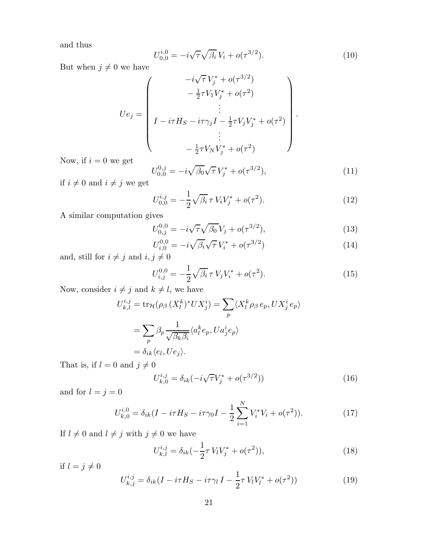and thus

$$
U_{0,0}^{i,0} = -i\sqrt{\tau}\sqrt{\beta_i}V_i + o(\tau^{3/2}).
$$
\n(10)

But when  $j\neq 0$  we have

$$
Ue_j = \begin{pmatrix} -i\sqrt{\tau} V_j^* + o(\tau^{3/2}) \\ -\frac{1}{2}\tau V_1 V_j^* + o(\tau^2) \\ \vdots \\ I - i\tau H_S - i\tau \gamma_j I - \frac{1}{2}\tau V_j V_j^* + o(\tau^2) \\ \vdots \\ -\frac{1}{2}\tau V_N V_j^* + o(\tau^2) \end{pmatrix}.
$$

Now, if  $i=0$  we get

$$
U_{0,0}^{0,j} = -i\sqrt{\beta_0}\sqrt{\tau}V_j^* + o(\tau^{3/2}),\tag{11}
$$

if  $i\neq 0$  and  $i\neq j$  we get

$$
U_{0,0}^{i,j} = -\frac{1}{2}\sqrt{\beta_i} \,\tau \, V_i V_j^* + o(\tau^2). \tag{12}
$$

A similar computation gives

$$
U_{0,j}^{0,0} = -i\sqrt{\tau}\sqrt{\beta_0}V_j + o(\tau^{3/2}),\tag{13}
$$

$$
U_{i,0}^{0,0} = -i\sqrt{\beta_i}\sqrt{\tau}V_i^* + o(\tau^{3/2})
$$
\n(14)

and, still for  $i\neq j$  and  $i,j\neq 0$ 

$$
U_{i,j}^{0,0} = -\frac{1}{2}\sqrt{\beta_i} \,\tau \, V_j V_i^* + o(\tau^2). \tag{15}
$$

Now, consider  $i\neq j$  and  $k\neq l,$  we have

$$
U_{k,l}^{i,j} = \text{tr}_{\mathcal{H}}(\rho_{\beta} (X_l^k)^* U X_j^i) = \sum_p \langle X_l^k \rho_{\beta} e_p, U X_j^i e_p \rangle
$$
  
= 
$$
\sum_p \beta_p \frac{1}{\sqrt{\beta_k \beta_i}} \langle a_l^k e_p, U a_j^i e_p \rangle
$$
  
= 
$$
\delta_{ik} \langle e_l, U e_j \rangle.
$$

That is, if  $l = 0$  and  $j \neq 0$ 

$$
U_{k,0}^{i,j} = \delta_{ik}(-i\sqrt{\tau}V_j^* + o(\tau^{3/2}))
$$
\n(16)

and for  $l=j=0$ 

$$
U_{k,0}^{i,0} = \delta_{ik}(I - i\tau H_S - i\tau \gamma_0 I - \frac{1}{2} \sum_{i=1}^{N} V_i^* V_i + o(\tau^2)).
$$
 (17)

If  $l\neq 0$  and  $l\neq j$  with  $j\neq 0$  we have

$$
U_{k,l}^{i,j} = \delta_{ik}(-\frac{1}{2}\tau V_l V_j^* + o(\tau^2)),\tag{18}
$$

if  $l = j \neq 0$ 

$$
U_{k,j}^{i,j} = \delta_{ik} (I - i\tau H_S - i\tau \gamma_l I - \frac{1}{2} \tau V_l V_l^* + o(\tau^2))
$$
\n(19)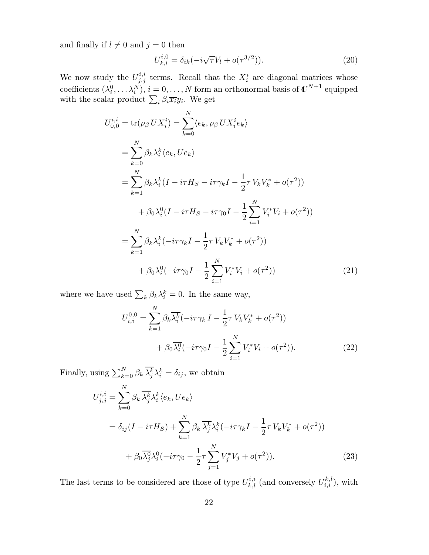and finally if  $l \neq 0$  and  $j = 0$  then

$$
U_{k,l}^{i,0} = \delta_{ik}(-i\sqrt{\tau}V_l + o(\tau^{3/2})).
$$
\n(20)

We now study the  $U^{i,i}_{j,j}$  terms. Recall that the  $X_i^i$  are diagonal matrices whose coefficients  $(\lambda_i^0, \dots, \lambda_i^N), i = 0, \dots, N$  form an orthonormal basis of  $\mathbb{C}^{N+1}$  equipped with the scalar product  $\sum_i \beta_i \overline{x_i} y_i$ . We get

$$
U_{0,0}^{i,i} = \text{tr}(\rho_{\beta} U X_i^i) = \sum_{k=0}^{N} \langle e_k, \rho_{\beta} U X_i^i e_k \rangle
$$
  
\n
$$
= \sum_{k=0}^{N} \beta_k \lambda_i^k \langle e_k, U e_k \rangle
$$
  
\n
$$
= \sum_{k=1}^{N} \beta_k \lambda_i^k (I - i\tau H_S - i\tau \gamma_k I - \frac{1}{2} \tau V_k V_k^* + o(\tau^2))
$$
  
\n
$$
+ \beta_0 \lambda_i^0 (I - i\tau H_S - i\tau \gamma_0 I - \frac{1}{2} \sum_{i=1}^{N} V_i^* V_i + o(\tau^2))
$$
  
\n
$$
= \sum_{k=1}^{N} \beta_k \lambda_i^k (-i\tau \gamma_k I - \frac{1}{2} \tau V_k V_k^* + o(\tau^2))
$$
  
\n
$$
+ \beta_0 \lambda_i^0 (-i\tau \gamma_0 I - \frac{1}{2} \sum_{i=1}^{N} V_i^* V_i + o(\tau^2))
$$
 (21)

where we have used  $\sum_{k} \beta_k \lambda_i^k = 0$ . In the same way,

$$
U_{i,i}^{0,0} = \sum_{k=1}^{N} \beta_k \overline{\lambda_i^k} (-i\tau \gamma_k I - \frac{1}{2} \tau V_k V_k^* + o(\tau^2))
$$
  
+  $\beta_0 \overline{\lambda_i^0} (-i\tau \gamma_0 I - \frac{1}{2} \sum_{i=1}^{N} V_i^* V_i + o(\tau^2)).$  (22)

Finally, using  $\sum_{k=0}^{N} \beta_k \overline{\lambda_j^k} \lambda_i^k = \delta_{ij}$ , we obtain

$$
U_{j,j}^{i,i} = \sum_{k=0}^{N} \beta_k \overline{\lambda_j^k} \lambda_i^k \langle e_k, Ue_k \rangle
$$
  
=  $\delta_{ij} (I - i\tau H_S) + \sum_{k=1}^{N} \beta_k \overline{\lambda_j^k} \lambda_i^k (-i\tau \gamma_k I - \frac{1}{2} \tau V_k V_k^* + o(\tau^2))$   
+  $\beta_0 \overline{\lambda_j^0} \lambda_i^0 (-i\tau \gamma_0 - \frac{1}{2} \tau \sum_{j=1}^{N} V_j^* V_j + o(\tau^2)).$  (23)

The last terms to be considered are those of type  $U_{k,l}^{i,i}$  (and conversely  $U_{i,i}^{k,l}$ ), with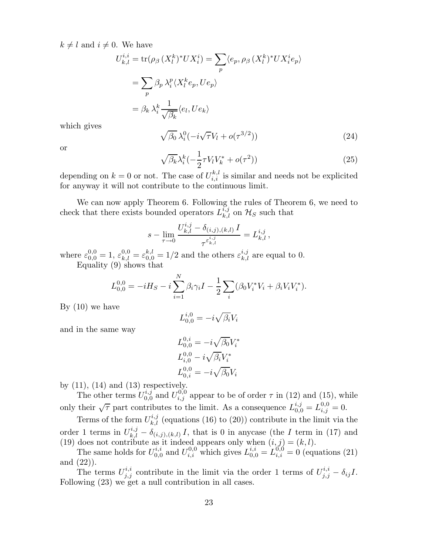$k \neq l$  and  $i \neq 0$ . We have

$$
U_{k,l}^{i,i} = \text{tr}(\rho_{\beta} (X_l^k)^* U X_i^i) = \sum_p \langle e_p, \rho_{\beta} (X_l^k)^* U X_i^i e_p \rangle
$$
  
= 
$$
\sum_p \beta_p \lambda_i^p \langle X_l^k e_p, U e_p \rangle
$$
  
= 
$$
\beta_k \lambda_i^k \frac{1}{\sqrt{\beta_k}} \langle e_l, U e_k \rangle
$$

which gives

$$
\sqrt{\beta_0} \lambda_i^0 (-i\sqrt{\tau}V_l + o(\tau^{3/2})) \tag{24}
$$

or

$$
\sqrt{\beta_k} \lambda_i^k \left( -\frac{1}{2} \tau V_l V_k^* + o(\tau^2) \right) \tag{25}
$$

depending on  $k = 0$  or not. The case of  $U_{i,i}^{k,l}$  is similar and needs not be explicited for anyway it will not contribute to the continuous limit.

We can now apply Theorem 6. Following the rules of Theorem 6, we need to check that there exists bounded operators  $L_{k,l}^{i,j}$  on  $\mathcal{H}_S$  such that

$$
s-\lim_{\tau\to 0}\frac{U_{k,l}^{i,j}-\delta_{(i,j),(k,l)}\,I}{\tau^{\varepsilon^{i,j}_{k,l}}}=L_{k,l}^{i,j}\,,
$$

where  $\varepsilon_{0,0}^{0,0} = 1$ ,  $\varepsilon_{k,l}^{0,0} = \varepsilon_{0,0}^{k,l} = 1/2$  and the others  $\varepsilon_{k,l}^{i,j}$  are equal to 0. Equality (9) shows that

$$
L_{0,0}^{0,0} = -iH_S - i\sum_{i=1}^{N} \beta_i \gamma_i I - \frac{1}{2} \sum_{i} (\beta_0 V_i^* V_i + \beta_i V_i V_i^*).
$$

By (10) we have

$$
L_{0,0}^{i,0} = -i\sqrt{\beta_i}V_i
$$

and in the same way

$$
L_{0,0}^{0,i} = -i\sqrt{\beta_0}V_i^*
$$
  
\n
$$
L_{i,0}^{0,0} - i\sqrt{\beta_i}V_i^*
$$
  
\n
$$
L_{0,i}^{0,0} = -i\sqrt{\beta_0}V_i
$$

by  $(11)$ ,  $(14)$  and  $(13)$  respectively.

The other terms  $U_{0,0}^{i,j}$  $U_{i,j}^{i,j}$  and  $U_{i,j}^{0,0}$  appear to be of order  $\tau$  in (12) and (15), while only their  $\sqrt{\tau}$  part contributes to the limit. As a consequence  $L_{0,0}^{i,j} = L_{i,j}^{0,0} = 0$ .

Terms of the form  $U_{k,l}^{i,j}$  (equations (16) to (20)) contribute in the limit via the order 1 terms in  $U_{k,l}^{i,j} - \delta_{(i,j),(k,l)} I$ , that is 0 in any case (the I term in (17) and (19) does not contribute as it indeed appears only when  $(i, j) = (k, l)$ .

The same holds for  $U_{0,0}^{i,i}$  $U_{i,i}^{i,i}$  and  $U_{i,i}^{0,0}$  which gives  $L_{0,0}^{i,i} = L_{i,i}^{0,0} = 0$  (equations (21) and (22)).

The terms  $U_{j,j}^{i,i}$  contribute in the limit via the order 1 terms of  $U_{j,j}^{i,i} - \delta_{ij}I$ . Following (23) we get a null contribution in all cases.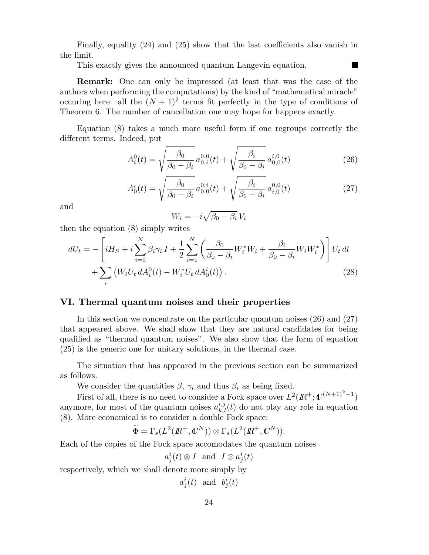Finally, equality (24) and (25) show that the last coefficients also vanish in the limit.

This exactly gives the announced quantum Langevin equation.

Remark: One can only be impressed (at least that was the case of the authors when performing the computations) by the kind of "mathematical miracle" occuring here: all the  $(N + 1)^2$  terms fit perfectly in the type of conditions of Theorem 6. The number of cancellation one may hope for happens exactly.

Equation (8) takes a much more useful form if one regroups correctly the different terms. Indeed, put

$$
A_i^0(t) = \sqrt{\frac{\beta_0}{\beta_0 - \beta_i}} a_{0,i}^{0,0}(t) + \sqrt{\frac{\beta_i}{\beta_0 - \beta_i}} a_{0,0}^{i,0}(t)
$$
 (26)

$$
A_0^i(t) = \sqrt{\frac{\beta_0}{\beta_0 - \beta_i}} a_{0,0}^{0,i}(t) + \sqrt{\frac{\beta_i}{\beta_0 - \beta_i}} a_{i,0}^{0,0}(t)
$$
 (27)

and

$$
W_i = -i\sqrt{\beta_0 - \beta_i} \, V_i
$$

then the equation (8) simply writes

$$
dU_t = -\left[iH_S + i\sum_{i=0}^N \beta_i \gamma_i I + \frac{1}{2} \sum_{i=1}^N \left(\frac{\beta_0}{\beta_0 - \beta_i} W_i^* W_i + \frac{\beta_i}{\beta_0 - \beta_i} W_i W_i^*\right)\right] U_t dt
$$
  
+ 
$$
\sum_i \left(W_i U_t dA_i^0(t) - W_i^* U_t dA_0^i(t)\right).
$$
 (28)

# VI. Thermal quantum noises and their properties

In this section we concentrate on the particular quantum noises (26) and (27) that appeared above. We shall show that they are natural candidates for being qualified as "thermal quantum noises". We also show that the form of equation (25) is the generic one for unitary solutions, in the thermal case.

The situation that has appeared in the previous section can be summarized as follows.

We consider the quantities  $\beta$ ,  $\gamma_i$  and thus  $\beta_i$  as being fixed.

First of all, there is no need to consider a Fock space over  $L^2(\mathbb{R}^+;\mathbb{C}^{(N+1)^2-1})$ anymore, for most of the quantum noises  $a_{k,l}^{i,j}(t)$  do not play any role in equation (8). More economical is to consider a double Fock space:

$$
\widetilde{\Phi} = \Gamma_s(L^2(I\!\! R^+,\mathbb C^N)) \otimes \Gamma_s(L^2(I\!\! R^+,\mathbb C^N)).
$$

Each of the copies of the Fock space accomodates the quantum noises

 $a_j^i(t) \otimes I$  and  $I \otimes a_j^i(t)$ 

respectively, which we shall denote more simply by

$$
a^i_j(t) \ \ \text{and} \ \ b^i_j(t)
$$

П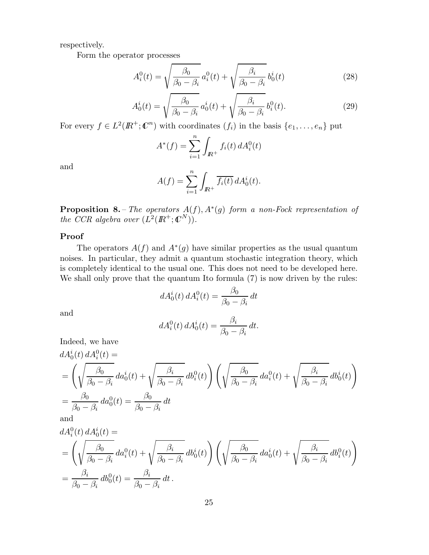respectively.

Form the operator processes

$$
A_i^0(t) = \sqrt{\frac{\beta_0}{\beta_0 - \beta_i}} a_i^0(t) + \sqrt{\frac{\beta_i}{\beta_0 - \beta_i}} b_0^i(t)
$$
 (28)

$$
A_0^i(t) = \sqrt{\frac{\beta_0}{\beta_0 - \beta_i}} a_0^i(t) + \sqrt{\frac{\beta_i}{\beta_0 - \beta_i}} b_i^0(t).
$$
 (29)

For every  $f \in L^2(\mathbb{R}^+; \mathbb{C}^n)$  with coordinates  $(f_i)$  in the basis  $\{e_1, \ldots, e_n\}$  put

$$
A^*(f) = \sum_{i=1}^n \int_{I\!\!R^+} f_i(t) dA_i^0(t)
$$

and

$$
A(f) = \sum_{i=1}^{n} \int_{I\!\!R^{+}} \overline{f_{i}(t)} dA_{0}^{i}(t).
$$

**Proposition 8.** – The operators  $A(f)$ ,  $A^*(g)$  form a non-Fock representation of the CCR algebra over  $(L^2(\mathbb{R}^+;\mathbb{C}^N)).$ 

# Proof

The operators  $A(f)$  and  $A^*(g)$  have similar properties as the usual quantum noises. In particular, they admit a quantum stochastic integration theory, which is completely identical to the usual one. This does not need to be developed here. We shall only prove that the quantum Ito formula  $(7)$  is now driven by the rules:

$$
dA_0^i(t) dA_i^0(t) = \frac{\beta_0}{\beta_0 - \beta_i} dt
$$

and

$$
dA_i^0(t) dA_0^i(t) = \frac{\beta_i}{\beta_0 - \beta_i} dt.
$$

Indeed, we have  
\n
$$
dA_0^i(t) dA_i^0(t) =
$$
\n
$$
= \left(\sqrt{\frac{\beta_0}{\beta_0 - \beta_i}} da_0^i(t) + \sqrt{\frac{\beta_i}{\beta_0 - \beta_i}} db_i^0(t)\right) \left(\sqrt{\frac{\beta_0}{\beta_0 - \beta_i}} da_i^0(t) + \sqrt{\frac{\beta_i}{\beta_0 - \beta_i}} db_0^i(t)\right)
$$
\n
$$
= \frac{\beta_0}{\beta_0 - \beta_i} da_0^0(t) = \frac{\beta_0}{\beta_0 - \beta_i} dt
$$
\nand

$$
dA_i^0(t) dA_0^i(t) =
$$
  
=  $\left(\sqrt{\frac{\beta_0}{\beta_0 - \beta_i}} da_i^0(t) + \sqrt{\frac{\beta_i}{\beta_0 - \beta_i}} db_0^i(t)\right) \left(\sqrt{\frac{\beta_0}{\beta_0 - \beta_i}} da_0^i(t) + \sqrt{\frac{\beta_i}{\beta_0 - \beta_i}} db_i^0(t)\right)$   
=  $\frac{\beta_i}{\beta_0 - \beta_i} db_0^0(t) = \frac{\beta_i}{\beta_0 - \beta_i} dt$ .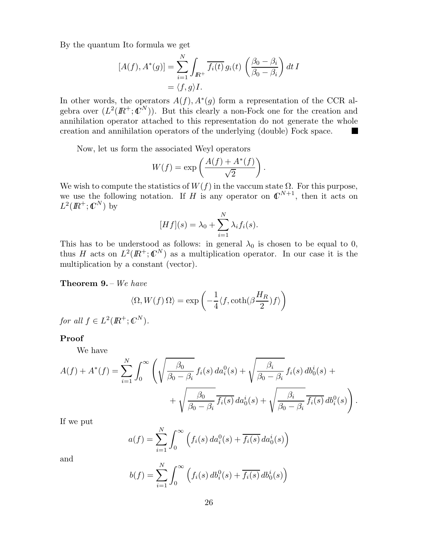By the quantum Ito formula we get

$$
[A(f), A^*(g)] = \sum_{i=1}^N \int_{I\!\!R^+} \overline{f_i(t)} g_i(t) \left( \frac{\beta_0 - \beta_i}{\beta_0 - \beta_i} \right) dt I
$$
  
=  $\langle f, g \rangle I.$ 

In other words, the operators  $A(f), A^*(g)$  form a representation of the CCR algebra over  $(L^2(\mathbb{R}^+;\mathbb{C}^N))$ . But this clearly a non-Fock one for the creation and annihilation operator attached to this representation do not generate the whole creation and annihilation operators of the underlying (double) Fock space.  $\overline{\phantom{a}}$ 

Now, let us form the associated Weyl operators

$$
W(f) = \exp\left(\frac{A(f) + A^*(f)}{\sqrt{2}}\right).
$$

We wish to compute the statistics of  $W(f)$  in the vaccum state  $\Omega$ . For this purpose, we use the following notation. If H is any operator on  $\mathbb{C}^{N+1}$ , then it acts on  $L^2(I\!\! R^+;\mathbb C^N)$  by

$$
[Hf](s) = \lambda_0 + \sum_{i=1}^{N} \lambda_i f_i(s).
$$

This has to be understood as follows: in general  $\lambda_0$  is chosen to be equal to 0, thus H acts on  $L^2(\mathbb{R}^+;\mathbb{C}^N)$  as a multiplication operator. In our case it is the multiplication by a constant (vector).

### Theorem 9. – We have

$$
\langle \Omega, W(f) \, \Omega \rangle = \exp \left( - \frac{1}{4} \langle f, \coth(\beta \frac{H_R}{2}) f \rangle \right)
$$

for all  $f \in L^2(\mathbb{R}^+;\mathbb{C}^N)$ .

### Proof

We have

$$
A(f) + A^*(f) = \sum_{i=1}^N \int_0^\infty \left( \sqrt{\frac{\beta_0}{\beta_0 - \beta_i}} f_i(s) \, da_i^0(s) + \sqrt{\frac{\beta_i}{\beta_0 - \beta_i}} f_i(s) \, db_0^i(s) + \sqrt{\frac{\beta_0}{\beta_0 - \beta_i}} \frac{\beta_i}{f_i(s)} \, da_0^i(s) + \sqrt{\frac{\beta_i}{\beta_0 - \beta_i}} \frac{\beta_i}{f_i(s)} \, db_i^0(s) \right).
$$

If we put

$$
a(f) = \sum_{i=1}^{N} \int_0^{\infty} \left( f_i(s) da_i^0(s) + \overline{f_i(s)} da_0^i(s) \right)
$$

and

$$
b(f) = \sum_{i=1}^{N} \int_{0}^{\infty} \left( f_i(s) \, db_i^0(s) + \overline{f_i(s)} \, db_0^i(s) \right)
$$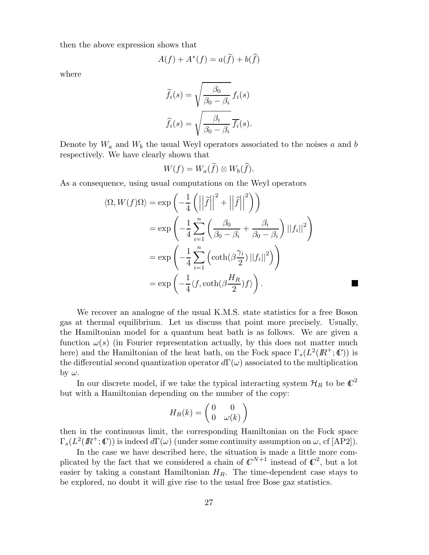then the above expression shows that

$$
A(f) + A^*(f) = a(\tilde{f}) + b(\hat{f})
$$

where

$$
\widetilde{f}_i(s) = \sqrt{\frac{\beta_0}{\beta_0 - \beta_i}} f_i(s)
$$

$$
\widehat{f}_i(s) = \sqrt{\frac{\beta_i}{\beta_0 - \beta_i}} \overline{f_i}(s).
$$

Denote by  $W_a$  and  $W_b$  the usual Weyl operators associated to the noises a and b respectively. We have clearly shown that

$$
W(f) = W_a(\widetilde{f}) \otimes W_b(\widehat{f}).
$$

As a consequence, using usual computations on the Weyl operators

$$
\langle \Omega, W(f)\Omega \rangle = \exp\left(-\frac{1}{4}\left(\left|\left|\tilde{f}\right|\right|^2 + \left|\left|\tilde{f}\right|\right|^2\right)\right)
$$
  

$$
= \exp\left(-\frac{1}{4}\sum_{i=1}^n \left(\frac{\beta_0}{\beta_0 - \beta_i} + \frac{\beta_i}{\beta_0 - \beta_i}\right) ||f_i||^2\right)
$$
  

$$
= \exp\left(-\frac{1}{4}\sum_{i=1}^n \left(\coth(\beta\frac{\gamma_i}{2})||f_i||^2\right)\right)
$$
  

$$
= \exp\left(-\frac{1}{4}\langle f, \coth(\beta\frac{H_R}{2})f \rangle\right).
$$

We recover an analogue of the usual K.M.S. state statistics for a free Boson gas at thermal equilibrium. Let us discuss that point more precisely. Usually, the Hamiltonian model for a quantum heat bath is as follows. We are given a function  $\omega(s)$  (in Fourier representation actually, by this does not matter much here) and the Hamiltonian of the heat bath, on the Fock space  $\Gamma_s(L^2(\mathbb{R}^+;\mathbb{C}))$  is the differential second quantization operator  $d\Gamma(\omega)$  associated to the multiplication by  $\omega$ .

In our discrete model, if we take the typical interacting system  $\mathcal{H}_R$  to be  $\mathbb{C}^2$ but with a Hamiltonian depending on the number of the copy:

$$
H_R(k)=\begin{pmatrix} 0 & 0 \\ 0 & \omega(k) \end{pmatrix}
$$

then in the continuous limit, the corresponding Hamiltonian on the Fock space  $\Gamma_s(L^2(\mathbb{R}^+;\mathbb{C}))$  is indeed  $d\Gamma(\omega)$  (under some continuity assumption on  $\omega$ , cf [AP2]).

In the case we have described here, the situation is made a little more complicated by the fact that we considered a chain of  $\mathbb{C}^{N+1}$  instead of  $\mathbb{C}^2$ , but a lot easier by taking a constant Hamiltonian  $H_R$ . The time-dependent case stays to be explored, no doubt it will give rise to the usual free Bose gaz statistics.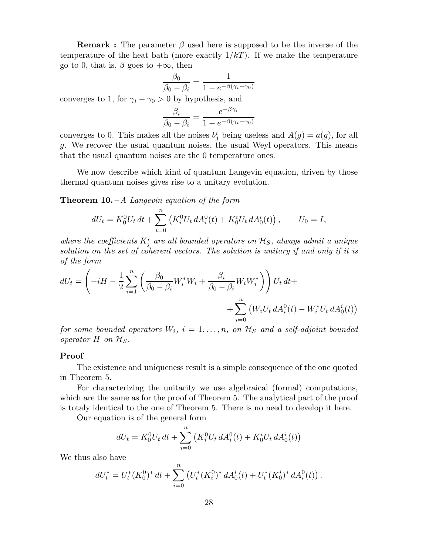**Remark :** The parameter  $\beta$  used here is supposed to be the inverse of the temperature of the heat bath (more exactly  $1/kT$ ). If we make the temperature go to 0, that is,  $\beta$  goes to  $+\infty$ , then

$$
\frac{\beta_0}{\beta_0 - \beta_i} = \frac{1}{1 - e^{-\beta(\gamma_i - \gamma_0)}}
$$

converges to 1, for  $\gamma_i - \gamma_0 > 0$  by hypothesis, and

$$
\frac{\beta_i}{\beta_0 - \beta_i} = \frac{e^{-\beta \gamma_i}}{1 - e^{-\beta(\gamma_i - \gamma_0)}}
$$

converges to 0. This makes all the noises  $b_j^i$  being useless and  $A(g) = a(g)$ , for all g. We recover the usual quantum noises, the usual Weyl operators. This means that the usual quantum noises are the 0 temperature ones.

We now describe which kind of quantum Langevin equation, driven by those thermal quantum noises gives rise to a unitary evolution.

**Theorem 10.** – A Langevin equation of the form

$$
dU_t = K_0^0 U_t dt + \sum_{i=0}^n (K_i^0 U_t dA_i^0(t) + K_0^i U_t dA_0^i(t)), \qquad U_0 = I,
$$

where the coefficients  $K^i_j$  are all bounded operators on  $\mathcal{H}_S$ , always admit a unique solution on the set of coherent vectors. The solution is unitary if and only if it is of the form

$$
dU_t = \left(-iH - \frac{1}{2} \sum_{i=1}^n \left(\frac{\beta_0}{\beta_0 - \beta_i} W_i^* W_i + \frac{\beta_i}{\beta_0 - \beta_i} W_i W_i^*\right)\right) U_t dt + + \sum_{i=0}^n \left(W_i U_t dA_i^0(t) - W_i^* U_t dA_0^i(t)\right)
$$

for some bounded operators  $W_i$ ,  $i = 1, \ldots, n$ , on  $\mathcal{H}_S$  and a self-adjoint bounded operator H on  $\mathcal{H}_S$ .

#### Proof

The existence and uniqueness result is a simple consequence of the one quoted in Theorem 5.

For characterizing the unitarity we use algebraical (formal) computations, which are the same as for the proof of Theorem 5. The analytical part of the proof is totaly identical to the one of Theorem 5. There is no need to develop it here.

Our equation is of the general form

$$
dU_t = K_0^0 U_t dt + \sum_{i=0}^n (K_i^0 U_t dA_i^0(t) + K_0^i U_t dA_0^i(t))
$$

We thus also have

$$
dU_t^* = U_t^*(K_0^0)^* dt + \sum_{i=0}^n (U_t^*(K_i^0)^* dA_0^i(t) + U_t^*(K_0^i)^* dA_i^0(t)).
$$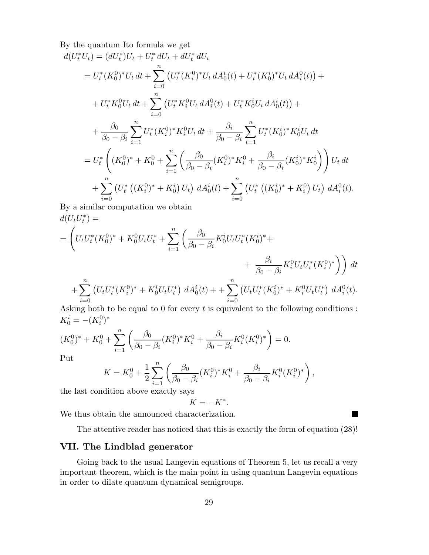By the quantum Ito formula we get

$$
d(U_t^* U_t) = (dU_t^*) U_t + U_t^* dU_t + dU_t^* dU_t
$$
  
\n
$$
= U_t^* (K_0^0)^* U_t dt + \sum_{i=0}^n (U_t^* (K_i^0)^* U_t dA_0^i(t) + U_t^* (K_0^i)^* U_t dA_i^0(t)) +
$$
  
\n
$$
+ U_t^* K_0^0 U_t dt + \sum_{i=0}^n (U_t^* K_i^0 U_t dA_i^0(t) + U_t^* K_0^i U_t dA_0^i(t)) +
$$
  
\n
$$
+ \frac{\beta_0}{\beta_0 - \beta_i} \sum_{i=1}^n U_t^* (K_i^0)^* K_i^0 U_t dt + \frac{\beta_i}{\beta_0 - \beta_i} \sum_{i=1}^n U_t^* (K_0^i)^* K_0^i U_t dt
$$
  
\n
$$
= U_t^* \left( (K_0^0)^* + K_0^0 + \sum_{i=1}^n \left( \frac{\beta_0}{\beta_0 - \beta_i} (K_i^0)^* K_i^0 + \frac{\beta_i}{\beta_0 - \beta_i} (K_0^i)^* K_0^i \right) \right) U_t dt
$$
  
\n
$$
+ \sum_{i=0}^n (U_t^* ((K_i^0)^* + K_0^i) U_t) dA_0^i(t) + \sum_{i=0}^n (U_t^* ((K_0^i)^* + K_i^0) U_t) dA_i^0(t).
$$

By a similar computation we obtain  $d(U_tU_t^*)=$ 

$$
= \left( U_t U_t^* (K_0^0)^* + K_0^0 U_t U_t^* + \sum_{i=1}^n \left( \frac{\beta_0}{\beta_0 - \beta_i} K_0^i U_t U_t^* (K_0^i)^* + \frac{\beta_i}{\beta_0 - \beta_i} K_i^0 U_t U_t^* (K_i^0)^* \right) \right) dt
$$
  
+ 
$$
\sum_{i=0}^n \left( U_t U_t^* (K_i^0)^* + K_0^i U_t U_t^* \right) dA_0^i(t) + \sum_{i=0}^n \left( U_t U_t^* (K_0^i)^* + K_i^0 U_t U_t^* \right) dA_i^0(t).
$$

Asking both to be equal to 0 for every  $t$  is equivalent to the following conditions :  $K_0^i = -(K_i^0)^*$ 

$$
(K_0^0)^* + K_0^0 + \sum_{i=1}^n \left( \frac{\beta_0}{\beta_0 - \beta_i} (K_i^0)^* K_i^0 + \frac{\beta_i}{\beta_0 - \beta_i} K_i^0 (K_i^0)^* \right) = 0.
$$

Put

$$
K = K_0^0 + \frac{1}{2} \sum_{i=1}^n \left( \frac{\beta_0}{\beta_0 - \beta_i} (K_i^0)^* K_i^0 + \frac{\beta_i}{\beta_0 - \beta_i} K_i^0 (K_i^0)^* \right),
$$

the last condition above exactly says

$$
K=-K^*.
$$

We thus obtain the announced characterization.

The attentive reader has noticed that this is exactly the form of equation (28)!

**COL** 

# VII. The Lindblad generator

Going back to the usual Langevin equations of Theorem 5, let us recall a very important theorem, which is the main point in using quantum Langevin equations in order to dilate quantum dynamical semigroups.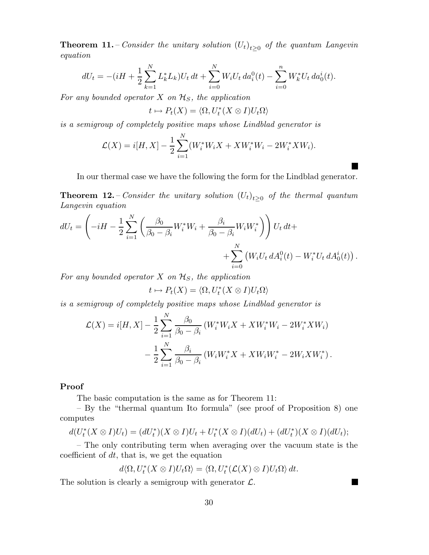**Theorem 11.** – Consider the unitary solution  $(U_t)_{t\geq0}$  of the quantum Langevin equation

$$
dU_t = -(iH + \frac{1}{2} \sum_{k=1}^N L_k^* L_k) U_t dt + \sum_{i=0}^N W_i U_t da_i^0(t) - \sum_{i=0}^n W_k^* U_t da_0^i(t).
$$

For any bounded operator  $X$  on  $\mathcal{H}_S$ , the application

$$
t \mapsto P_t(X) = \langle \Omega, U_t^*(X \otimes I)U_t \Omega \rangle
$$

is a semigroup of completely positive maps whose Lindblad generator is

$$
\mathcal{L}(X) = i[H, X] - \frac{1}{2} \sum_{i=1}^{N} (W_i^* W_i X + X W_i^* W_i - 2W_i^* X W_i).
$$

In our thermal case we have the following the form for the Lindblad generator.

**Theorem 12.** – Consider the unitary solution  $(U_t)_{t\geq 0}$  of the thermal quantum Langevin equation

$$
dU_t = \left(-iH - \frac{1}{2} \sum_{i=1}^N \left(\frac{\beta_0}{\beta_0 - \beta_i} W_i^* W_i + \frac{\beta_i}{\beta_0 - \beta_i} W_i W_i^*\right)\right) U_t dt + + \sum_{i=0}^N \left(W_i U_t dA_i^0(t) - W_i^* U_t dA_0^i(t)\right).
$$

For any bounded operator  $X$  on  $\mathcal{H}_S$ , the application

$$
t \mapsto P_t(X) = \langle \Omega, U_t^*(X \otimes I)U_t \Omega \rangle
$$

is a semigroup of completely positive maps whose Lindblad generator is

$$
\mathcal{L}(X) = i[H, X] - \frac{1}{2} \sum_{i=1}^{N} \frac{\beta_0}{\beta_0 - \beta_i} (W_i^* W_i X + X W_i^* W_i - 2 W_i^* X W_i) - \frac{1}{2} \sum_{i=1}^{N} \frac{\beta_i}{\beta_0 - \beta_i} (W_i W_i^* X + X W_i W_i^* - 2 W_i X W_i^*).
$$

# Proof

The basic computation is the same as for Theorem 11:

– By the "thermal quantum Ito formula" (see proof of Proposition 8) one computes

$$
d(U_t^*(X \otimes I)U_t) = (dU_t^*)(X \otimes I)U_t + U_t^*(X \otimes I)(dU_t) + (dU_t^*)(X \otimes I)(dU_t);
$$

– The only contributing term when averaging over the vacuum state is the coefficient of  $dt$ , that is, we get the equation

$$
d\langle \Omega, U_t^*(X \otimes I)U_t\Omega\rangle = \langle \Omega, U_t^*(\mathcal{L}(X) \otimes I)U_t\Omega\rangle dt.
$$

 $\blacksquare$ 

The solution is clearly a semigroup with generator  $\mathcal{L}$ .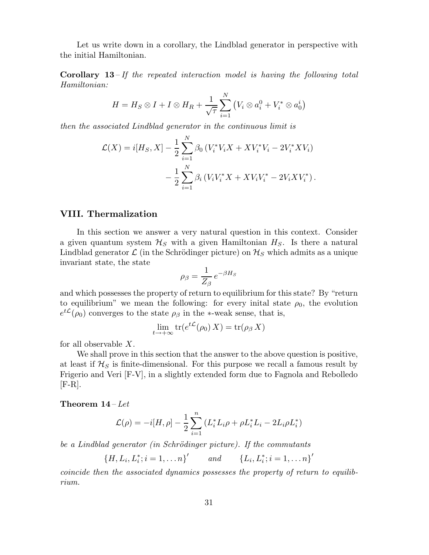Let us write down in a corollary, the Lindblad generator in perspective with the initial Hamiltonian.

**Corollary 13** – If the repeated interaction model is having the following total Hamiltonian:

$$
H = H_S \otimes I + I \otimes H_R + \frac{1}{\sqrt{\tau}} \sum_{i=1}^N (V_i \otimes a_i^0 + V_i^* \otimes a_0^i)
$$

then the associated Lindblad generator in the continuous limit is

$$
\mathcal{L}(X) = i[H_S, X] - \frac{1}{2} \sum_{i=1}^{N} \beta_0 \left( V_i^* V_i X + X V_i^* V_i - 2 V_i^* X V_i \right) - \frac{1}{2} \sum_{i=1}^{N} \beta_i \left( V_i V_i^* X + X V_i V_i^* - 2 V_i X V_i^* \right).
$$

# VIII. Thermalization

In this section we answer a very natural question in this context. Consider a given quantum system  $\mathcal{H}_S$  with a given Hamiltonian  $H_S$ . Is there a natural Lindblad generator  $\mathcal{L}$  (in the Schrödinger picture) on  $\mathcal{H}_S$  which admits as a unique invariant state, the state

$$
\rho_{\beta} = \frac{1}{Z_{\beta}} e^{-\beta H_{S}}
$$

and which possesses the property of return to equilibrium for this state? By "return to equilibrium" we mean the following: for every initial state  $\rho_0$ , the evolution  $e^{t\mathcal{L}}(\rho_0)$  converges to the state  $\rho_\beta$  in the \*-weak sense, that is,

$$
\lim_{t \to +\infty} \text{tr}(e^{t\mathcal{L}}(\rho_0) X) = \text{tr}(\rho_\beta X)
$$

for all observable X.

We shall prove in this section that the answer to the above question is positive, at least if  $\mathcal{H}_S$  is finite-dimensional. For this purpose we recall a famous result by Frigerio and Veri [F-V], in a slightly extended form due to Fagnola and Rebolledo  $[**F-R**].$ 

Theorem  $14$  – Let

$$
\mathcal{L}(\rho) = -i[H, \rho] - \frac{1}{2} \sum_{i=1}^{n} (L_i^* L_i \rho + \rho L_i^* L_i - 2L_i \rho L_i^*)
$$

be a Lindblad generator (in Schrödinger picture). If the commutants

{ $H, L_i, L_i^*; i = 1, \ldots n$ }' and { $L_i, L_i^*; i = 1, \ldots n$ }'

coincide then the associated dynamics possesses the property of return to equilibrium.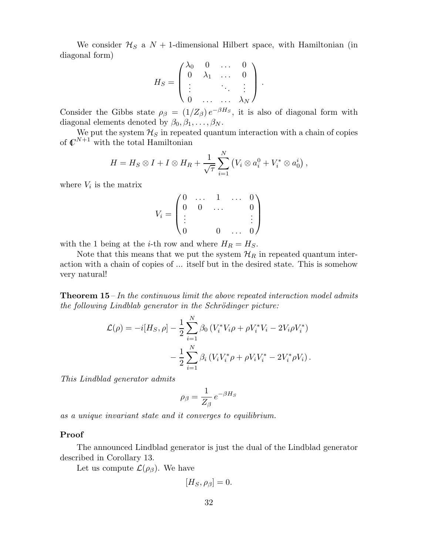We consider  $\mathcal{H}_S$  a  $N+1$ -dimensional Hilbert space, with Hamiltonian (in diagonal form)

$$
H_S = \begin{pmatrix} \lambda_0 & 0 & \dots & 0 \\ 0 & \lambda_1 & \dots & 0 \\ \vdots & & \ddots & \vdots \\ 0 & \dots & \dots & \lambda_N \end{pmatrix}.
$$

Consider the Gibbs state  $\rho_{\beta} = (1/Z_{\beta}) e^{-\beta H_{S}}$ , it is also of diagonal form with diagonal elements denoted by  $\beta_0, \beta_1, \ldots, \beta_N$ .

We put the system  $\mathcal{H}_S$  in repeated quantum interaction with a chain of copies of  $\mathbb{C}^{N+1}$  with the total Hamiltonian

$$
H = H_S \otimes I + I \otimes H_R + \frac{1}{\sqrt{\tau}} \sum_{i=1}^N (V_i \otimes a_i^0 + V_i^* \otimes a_0^i),
$$

where  $V_i$  is the matrix

$$
V_i = \begin{pmatrix} 0 & \dots & 1 & \dots & 0 \\ 0 & 0 & \dots & & 0 \\ \vdots & & & & \vdots \\ 0 & & 0 & \dots & 0 \end{pmatrix}
$$

with the 1 being at the *i*-th row and where  $H_R = H_S$ .

Note that this means that we put the system  $\mathcal{H}_R$  in repeated quantum interaction with a chain of copies of ... itself but in the desired state. This is somehow very natural!

**Theorem 15** – In the continuous limit the above repeated interaction model admits  $the following Lindblab generator in the Schrödinger picture:$ 

$$
\mathcal{L}(\rho) = -i[H_S, \rho] - \frac{1}{2} \sum_{i=1}^{N} \beta_0 \left( V_i^* V_i \rho + \rho V_i^* V_i - 2V_i \rho V_i^* \right) \n- \frac{1}{2} \sum_{i=1}^{N} \beta_i \left( V_i V_i^* \rho + \rho V_i V_i^* - 2V_i^* \rho V_i \right).
$$

This Lindblad generator admits

$$
\rho_{\beta} = \frac{1}{Z_{\beta}} e^{-\beta H_{S}}
$$

as a unique invariant state and it converges to equilibrium.

### Proof

The announced Lindblad generator is just the dual of the Lindblad generator described in Corollary 13.

Let us compute  $\mathcal{L}(\rho_{\beta})$ . We have

$$
[H_S, \rho_\beta] = 0.
$$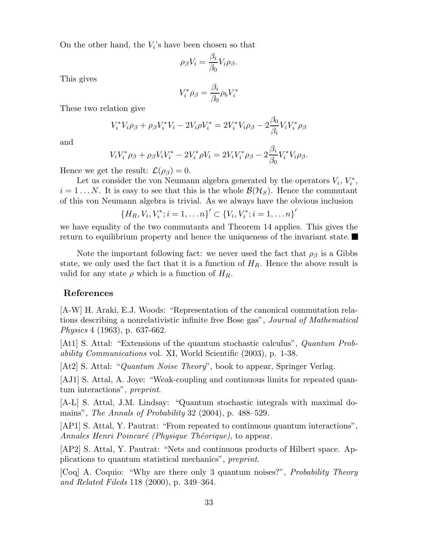On the other hand, the  $V_i$ 's have been chosen so that

$$
\rho_{\beta}V_i = \frac{\beta_i}{\beta_0}V_i \rho_{\beta}.
$$

This gives

$$
V_i^* \rho_\beta = \frac{\beta_i}{\beta_0} \rho_b V_i^*
$$

These two relation give

$$
V_i^* V_i \rho_\beta + \rho_\beta V_i^* V_i - 2V_i \rho V_i^* = 2V_i^* V_i \rho_\beta - 2\frac{\beta_0}{\beta_i} V_i V_i^* \rho_\beta
$$

and

$$
V_i V_i^* \rho_\beta + \rho_\beta V_i V_i^* - 2V_i^* \rho V_i = 2V_i V_i^* \rho_\beta - 2\frac{\beta_i}{\beta_0} V_i^* V_i \rho_\beta.
$$

Hence we get the result:  $\mathcal{L}(\rho_{\beta})=0$ .

Let us consider the von Neumann algebra generated by the operators  $V_i$ ,  $V_i^*$ ,  $i = 1...N$ . It is easy to see that this is the whole  $\mathcal{B}(\mathcal{H}_S)$ . Hence the commutant of this von Neumann algebra is trivial. As we always have the obvious inclusion

$$
{H_R, V_i, V_i^*; i = 1, \ldots n}^{\prime} \subset {V_i, V_i^*; i = 1, \ldots n}^{\prime}
$$

we have equality of the two commutants and Theorem 14 applies. This gives the return to equilibrium property and hence the uniqueness of the invariant state.

Note the important following fact: we never used the fact that  $\rho_{\beta}$  is a Gibbs state, we only used the fact that it is a function of  $H_R$ . Hence the above result is valid for any state  $\rho$  which is a function of  $H_R$ .

# References

[A-W] H. Araki, E.J. Woods: "Representation of the canonical commutation relations describing a nonrelativistic infinite free Bose gas", Journal of Mathematical Physics 4 (1963), p. 637-662.

[At1] S. Attal: "Extensions of the quantum stochastic calculus", Quantum Probability Communications vol. XI, World Scientific (2003), p. 1-38.

[At2] S. Attal: "Quantum Noise Theory", book to appear, Springer Verlag.

[AJ1] S. Attal, A. Joye: "Weak-coupling and continuous limits for repeated quantum interactions", preprint.

[A-L] S. Attal, J.M. Lindsay: "Quantum stochastic integrals with maximal domains", *The Annals of Probability* 32 (2004), p. 488–529.

[AP1] S. Attal, Y. Pautrat: "From repeated to continuous quantum interactions", Annales Henri Poincaré (Physique Théorique), to appear.

[AP2] S. Attal, Y. Pautrat: "Nets and continuous products of Hilbert space. Applications to quantum statistical mechanics", preprint.

[Coq] A. Coquio: "Why are there only 3 quantum noises?", Probability Theory and Related Fileds 118 (2000), p. 349–364.